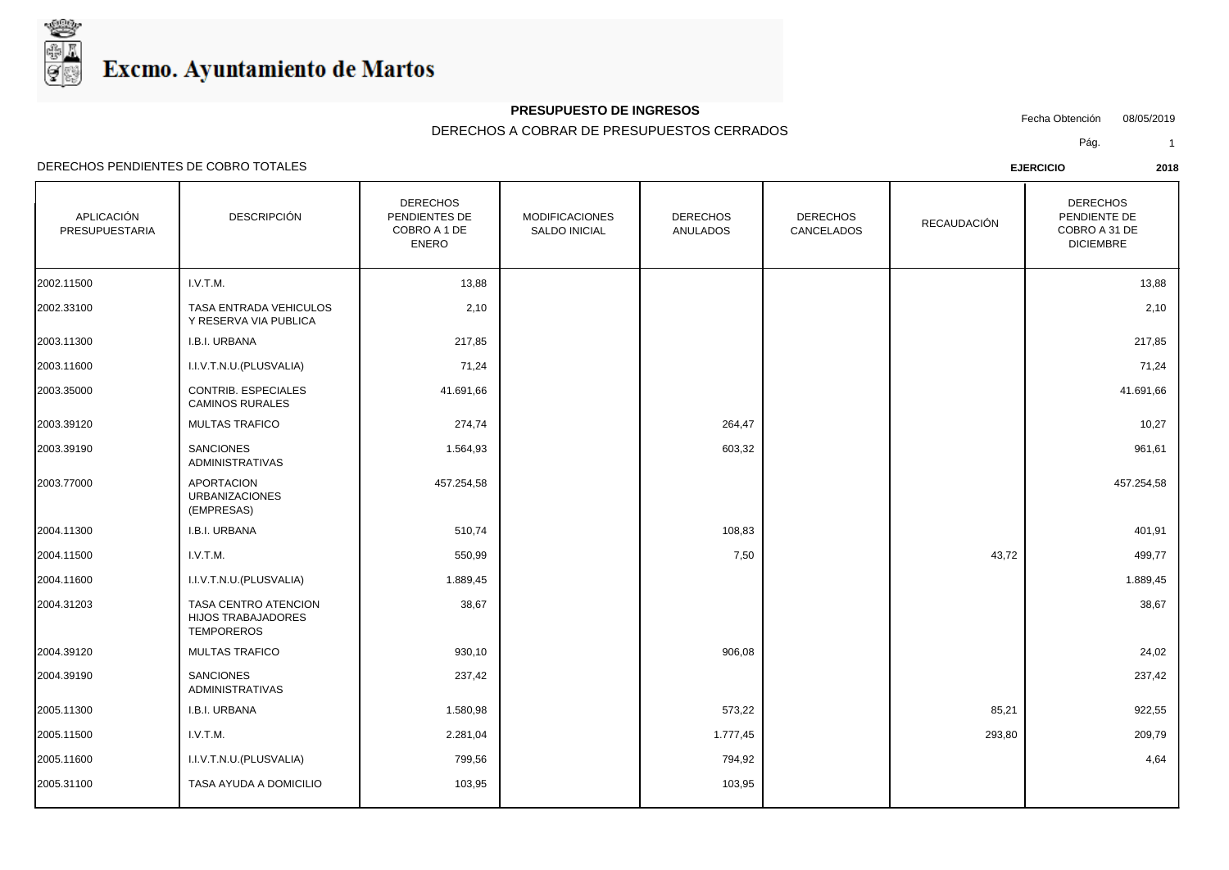

## **PRESUPUESTO DE INGRESOS**

Fecha Obtención 08/05/2019

DERECHOS A COBRAR DE PRESUPUESTOS CERRADOS

Pág. 1

| APLICACIÓN<br>PRESUPUESTARIA | <b>DESCRIPCIÓN</b>                                                     | <b>DERECHOS</b><br>PENDIENTES DE<br>COBRO A 1 DE<br><b>ENERO</b> | <b>MODIFICACIONES</b><br>SALDO INICIAL | <b>DERECHOS</b><br><b>ANULADOS</b> | <b>DERECHOS</b><br>CANCELADOS | RECAUDACIÓN | <b>DERECHOS</b><br>PENDIENTE DE<br>COBRO A 31 DE<br><b>DICIEMBRE</b> |
|------------------------------|------------------------------------------------------------------------|------------------------------------------------------------------|----------------------------------------|------------------------------------|-------------------------------|-------------|----------------------------------------------------------------------|
| 2002.11500                   | I.V.T.M.                                                               | 13,88                                                            |                                        |                                    |                               |             | 13,88                                                                |
| 2002.33100                   | TASA ENTRADA VEHICULOS<br>Y RESERVA VIA PUBLICA                        | 2,10                                                             |                                        |                                    |                               |             | 2,10                                                                 |
| 2003.11300                   | I.B.I. URBANA                                                          | 217,85                                                           |                                        |                                    |                               |             | 217,85                                                               |
| 2003.11600                   | I.I.V.T.N.U.(PLUSVALIA)                                                | 71,24                                                            |                                        |                                    |                               |             | 71,24                                                                |
| 2003.35000                   | CONTRIB. ESPECIALES<br>CAMINOS RURALES                                 | 41.691,66                                                        |                                        |                                    |                               |             | 41.691,66                                                            |
| 2003.39120                   | <b>MULTAS TRAFICO</b>                                                  | 274,74                                                           |                                        | 264,47                             |                               |             | 10,27                                                                |
| 2003.39190                   | <b>SANCIONES</b><br><b>ADMINISTRATIVAS</b>                             | 1.564,93                                                         |                                        | 603,32                             |                               |             | 961,61                                                               |
| 2003.77000                   | <b>APORTACION</b><br><b>URBANIZACIONES</b><br>(EMPRESAS)               | 457.254,58                                                       |                                        |                                    |                               |             | 457.254,58                                                           |
| 2004.11300                   | I.B.I. URBANA                                                          | 510,74                                                           |                                        | 108,83                             |                               |             | 401,91                                                               |
| 2004.11500                   | I.V.T.M.                                                               | 550,99                                                           |                                        | 7,50                               |                               | 43,72       | 499,77                                                               |
| 2004.11600                   | I.I.V.T.N.U.(PLUSVALIA)                                                | 1.889,45                                                         |                                        |                                    |                               |             | 1.889,45                                                             |
| 2004.31203                   | TASA CENTRO ATENCION<br><b>HIJOS TRABAJADORES</b><br><b>TEMPOREROS</b> | 38,67                                                            |                                        |                                    |                               |             | 38,67                                                                |
| 2004.39120                   | <b>MULTAS TRAFICO</b>                                                  | 930,10                                                           |                                        | 906,08                             |                               |             | 24,02                                                                |
| 2004.39190                   | <b>SANCIONES</b><br><b>ADMINISTRATIVAS</b>                             | 237,42                                                           |                                        |                                    |                               |             | 237,42                                                               |
| 2005.11300                   | I.B.I. URBANA                                                          | 1.580,98                                                         |                                        | 573,22                             |                               | 85,21       | 922,55                                                               |
| 2005.11500                   | I.V.T.M.                                                               | 2.281,04                                                         |                                        | 1.777,45                           |                               | 293,80      | 209,79                                                               |
| 2005.11600                   | I.I.V.T.N.U.(PLUSVALIA)                                                | 799,56                                                           |                                        | 794,92                             |                               |             | 4,64                                                                 |
| 2005.31100                   | TASA AYUDA A DOMICILIO                                                 | 103,95                                                           |                                        | 103,95                             |                               |             |                                                                      |
|                              |                                                                        |                                                                  |                                        |                                    |                               |             |                                                                      |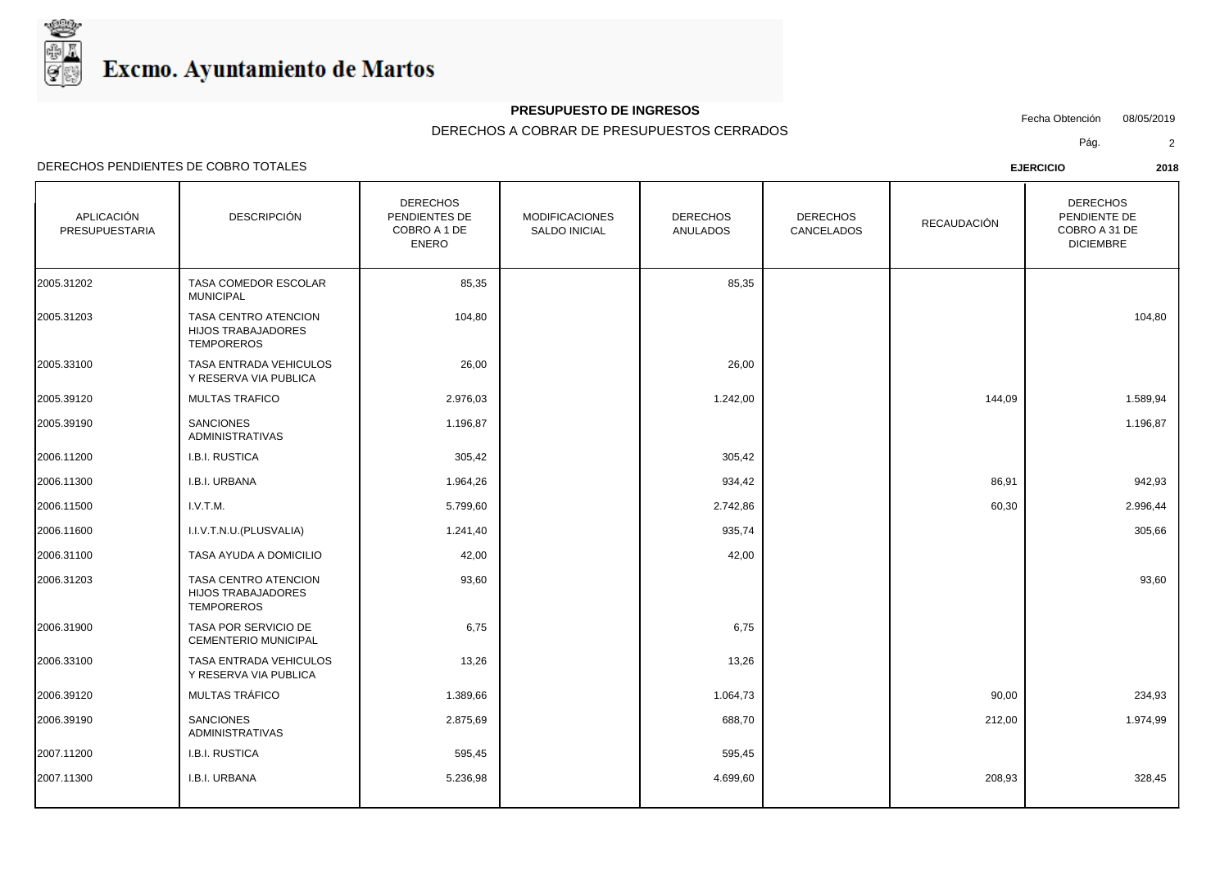

### **PRESUPUESTO DE INGRESOS**

Fecha Obtención 08/05/2019

DERECHOS A COBRAR DE PRESUPUESTOS CERRADOS

Pág. 2

| APLICACIÓN<br>PRESUPUESTARIA | <b>DESCRIPCIÓN</b>                                                            | <b>DERECHOS</b><br>PENDIENTES DE<br>COBRO A 1 DE<br><b>ENERO</b> | <b>MODIFICACIONES</b><br><b>SALDO INICIAL</b> | <b>DERECHOS</b><br><b>ANULADOS</b> | <b>DERECHOS</b><br>CANCELADOS | <b>RECAUDACIÓN</b> | <b>DERECHOS</b><br>PENDIENTE DE<br>COBRO A 31 DE<br><b>DICIEMBRE</b> |
|------------------------------|-------------------------------------------------------------------------------|------------------------------------------------------------------|-----------------------------------------------|------------------------------------|-------------------------------|--------------------|----------------------------------------------------------------------|
| 2005.31202                   | TASA COMEDOR ESCOLAR<br><b>MUNICIPAL</b>                                      | 85,35                                                            |                                               | 85,35                              |                               |                    |                                                                      |
| 2005.31203                   | TASA CENTRO ATENCION<br><b>HIJOS TRABAJADORES</b><br><b>TEMPOREROS</b>        | 104,80                                                           |                                               |                                    |                               |                    | 104,80                                                               |
| 2005.33100                   | TASA ENTRADA VEHICULOS<br>Y RESERVA VIA PUBLICA                               | 26,00                                                            |                                               | 26,00                              |                               |                    |                                                                      |
| 2005.39120                   | <b>MULTAS TRAFICO</b>                                                         | 2.976,03                                                         |                                               | 1.242,00                           |                               | 144,09             | 1.589,94                                                             |
| 2005.39190                   | <b>SANCIONES</b><br><b>ADMINISTRATIVAS</b>                                    | 1.196,87                                                         |                                               |                                    |                               |                    | 1.196,87                                                             |
| 2006.11200                   | I.B.I. RUSTICA                                                                | 305,42                                                           |                                               | 305,42                             |                               |                    |                                                                      |
| 2006.11300                   | I.B.I. URBANA                                                                 | 1.964,26                                                         |                                               | 934,42                             |                               | 86,91              | 942,93                                                               |
| 2006.11500                   | I.V.T.M.                                                                      | 5.799,60                                                         |                                               | 2.742,86                           |                               | 60,30              | 2.996,44                                                             |
| 2006.11600                   | I.I.V.T.N.U.(PLUSVALIA)                                                       | 1.241,40                                                         |                                               | 935,74                             |                               |                    | 305,66                                                               |
| 2006.31100                   | TASA AYUDA A DOMICILIO                                                        | 42,00                                                            |                                               | 42,00                              |                               |                    |                                                                      |
| 2006.31203                   | <b>TASA CENTRO ATENCION</b><br><b>HIJOS TRABAJADORES</b><br><b>TEMPOREROS</b> | 93,60                                                            |                                               |                                    |                               |                    | 93,60                                                                |
| 2006.31900                   | TASA POR SERVICIO DE<br><b>CEMENTERIO MUNICIPAL</b>                           | 6,75                                                             |                                               | 6,75                               |                               |                    |                                                                      |
| 2006.33100                   | TASA ENTRADA VEHICULOS<br>Y RESERVA VIA PUBLICA                               | 13,26                                                            |                                               | 13,26                              |                               |                    |                                                                      |
| 2006.39120                   | MULTAS TRÁFICO                                                                | 1.389,66                                                         |                                               | 1.064,73                           |                               | 90,00              | 234,93                                                               |
| 2006.39190                   | <b>SANCIONES</b><br><b>ADMINISTRATIVAS</b>                                    | 2.875,69                                                         |                                               | 688,70                             |                               | 212,00             | 1.974,99                                                             |
| 2007.11200                   | <b>I.B.I. RUSTICA</b>                                                         | 595,45                                                           |                                               | 595,45                             |                               |                    |                                                                      |
| 2007.11300                   | I.B.I. URBANA                                                                 | 5.236,98                                                         |                                               | 4.699,60                           |                               | 208,93             | 328,45                                                               |
|                              |                                                                               |                                                                  |                                               |                                    |                               |                    |                                                                      |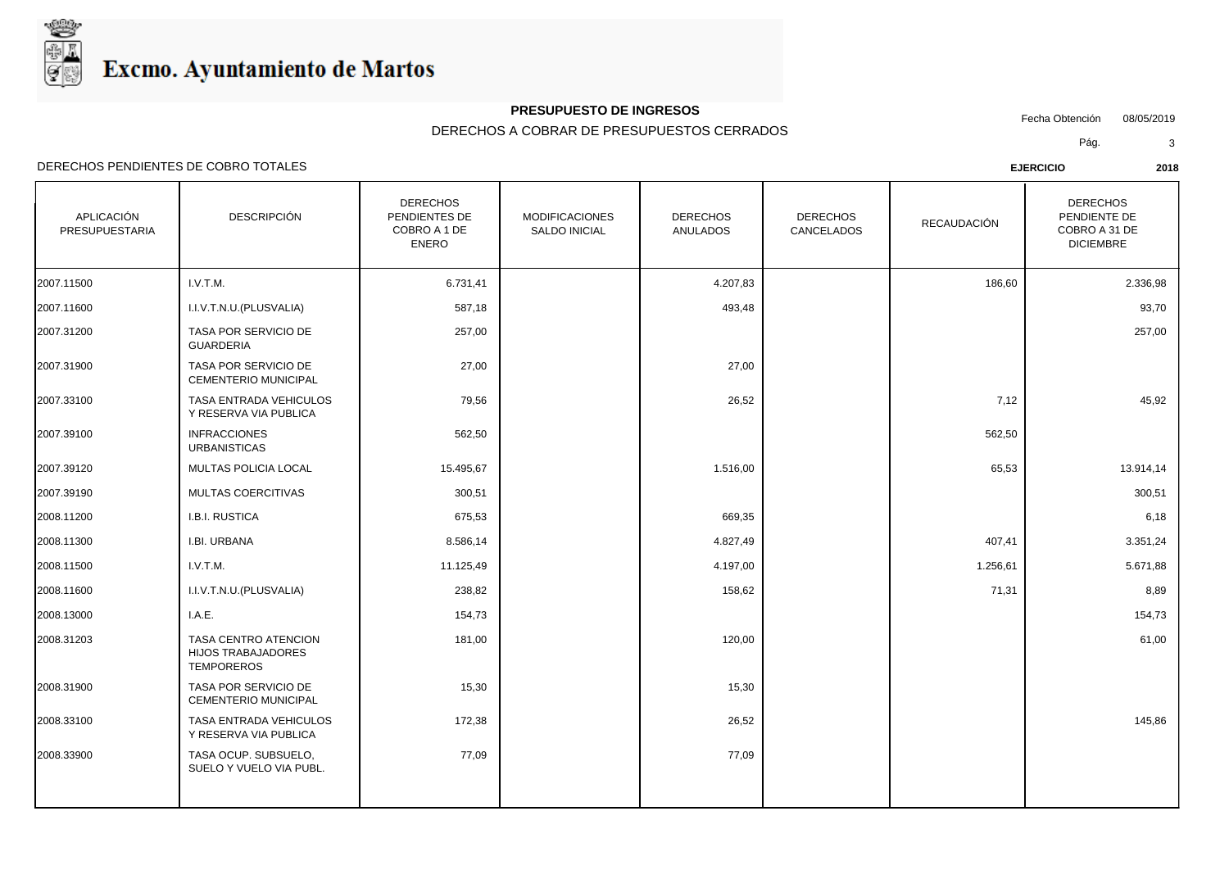

## **PRESUPUESTO DE INGRESOS**

Fecha Obtención 08/05/2019

DERECHOS A COBRAR DE PRESUPUESTOS CERRADOS

Pág. 3

| APLICACIÓN<br><b>PRESUPUESTARIA</b> | <b>DESCRIPCIÓN</b>                                                     | <b>DERECHOS</b><br>PENDIENTES DE<br>COBRO A 1 DE<br><b>ENERO</b> | <b>MODIFICACIONES</b><br><b>SALDO INICIAL</b> | <b>DERECHOS</b><br><b>ANULADOS</b> | <b>DERECHOS</b><br>CANCELADOS | <b>RECAUDACIÓN</b> | <b>DERECHOS</b><br>PENDIENTE DE<br>COBRO A 31 DE<br><b>DICIEMBRE</b> |
|-------------------------------------|------------------------------------------------------------------------|------------------------------------------------------------------|-----------------------------------------------|------------------------------------|-------------------------------|--------------------|----------------------------------------------------------------------|
| 2007.11500                          | I.V.T.M.                                                               | 6.731,41                                                         |                                               | 4.207,83                           |                               | 186,60             | 2.336,98                                                             |
| 2007.11600                          | I.I.V.T.N.U.(PLUSVALIA)                                                | 587,18                                                           |                                               | 493,48                             |                               |                    | 93,70                                                                |
| 2007.31200                          | TASA POR SERVICIO DE<br><b>GUARDERIA</b>                               | 257,00                                                           |                                               |                                    |                               |                    | 257,00                                                               |
| 2007.31900                          | TASA POR SERVICIO DE<br><b>CEMENTERIO MUNICIPAL</b>                    | 27,00                                                            |                                               | 27,00                              |                               |                    |                                                                      |
| 2007.33100                          | TASA ENTRADA VEHICULOS<br>Y RESERVA VIA PUBLICA                        | 79,56                                                            |                                               | 26,52                              |                               | 7,12               | 45,92                                                                |
| 2007.39100                          | <b>INFRACCIONES</b><br><b>URBANISTICAS</b>                             | 562,50                                                           |                                               |                                    |                               | 562,50             |                                                                      |
| 2007.39120                          | MULTAS POLICIA LOCAL                                                   | 15.495,67                                                        |                                               | 1.516,00                           |                               | 65,53              | 13.914,14                                                            |
| 2007.39190                          | MULTAS COERCITIVAS                                                     | 300,51                                                           |                                               |                                    |                               |                    | 300,51                                                               |
| 2008.11200                          | <b>I.B.I. RUSTICA</b>                                                  | 675,53                                                           |                                               | 669,35                             |                               |                    | 6,18                                                                 |
| 2008.11300                          | I.BI. URBANA                                                           | 8.586,14                                                         |                                               | 4.827,49                           |                               | 407,41             | 3.351,24                                                             |
| 2008.11500                          | I.V.T.M.                                                               | 11.125,49                                                        |                                               | 4.197,00                           |                               | 1.256,61           | 5.671,88                                                             |
| 2008.11600                          | I.I.V.T.N.U. (PLUSVALIA)                                               | 238,82                                                           |                                               | 158,62                             |                               | 71,31              | 8,89                                                                 |
| 2008.13000                          | I.A.E.                                                                 | 154,73                                                           |                                               |                                    |                               |                    | 154,73                                                               |
| 2008.31203                          | TASA CENTRO ATENCION<br><b>HIJOS TRABAJADORES</b><br><b>TEMPOREROS</b> | 181,00                                                           |                                               | 120,00                             |                               |                    | 61,00                                                                |
| 2008.31900                          | <b>TASA POR SERVICIO DE</b><br>CEMENTERIO MUNICIPAL                    | 15,30                                                            |                                               | 15,30                              |                               |                    |                                                                      |
| 2008.33100                          | TASA ENTRADA VEHICULOS<br>Y RESERVA VIA PUBLICA                        | 172,38                                                           |                                               | 26,52                              |                               |                    | 145,86                                                               |
| 2008.33900                          | TASA OCUP. SUBSUELO,<br>SUELO Y VUELO VIA PUBL.                        | 77,09                                                            |                                               | 77,09                              |                               |                    |                                                                      |
|                                     |                                                                        |                                                                  |                                               |                                    |                               |                    |                                                                      |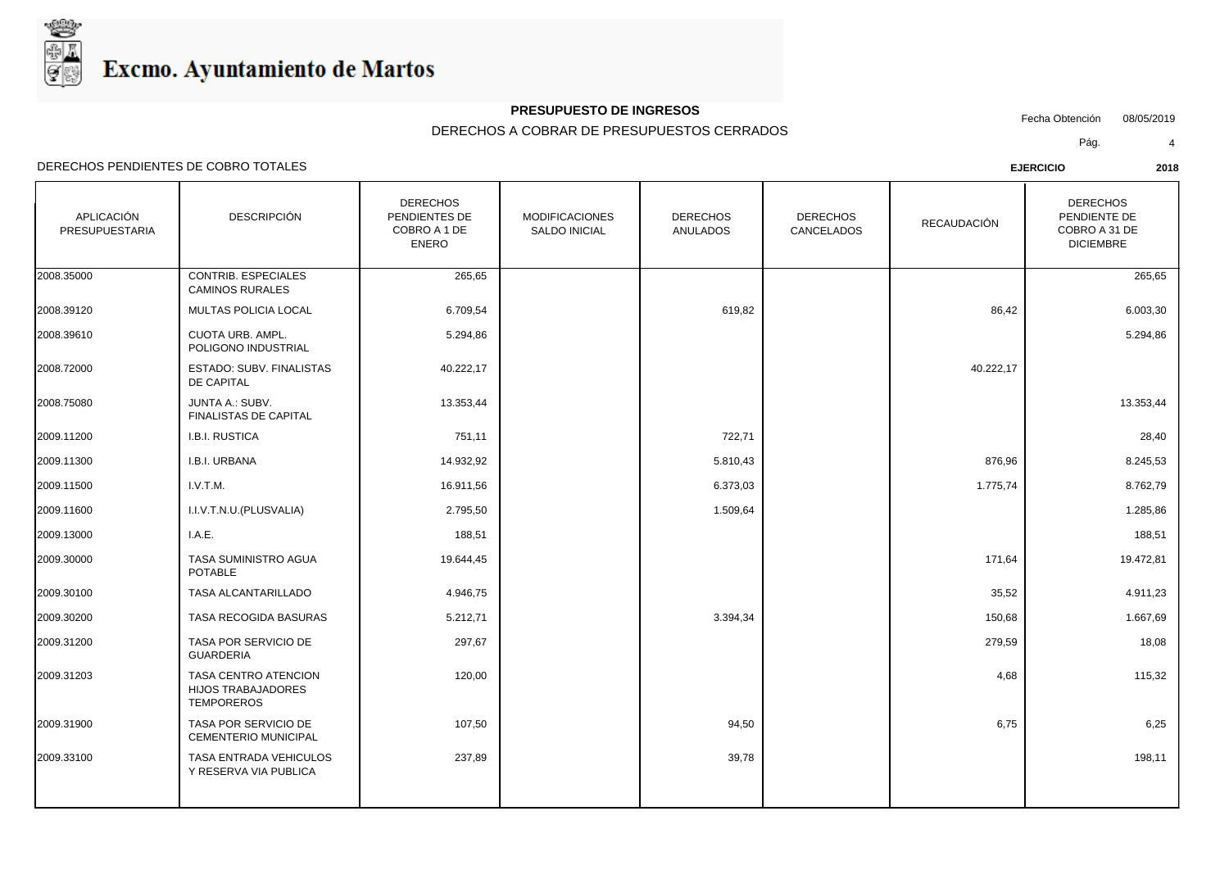

## **PRESUPUESTO DE INGRESOS**

Fecha Obtención 08/05/2019

DERECHOS A COBRAR DE PRESUPUESTOS CERRADOS

Pág. 4

| APLICACIÓN<br>PRESUPUESTARIA | <b>DESCRIPCIÓN</b>                                                     | <b>DERECHOS</b><br>PENDIENTES DE<br>COBRO A 1 DE<br><b>ENERO</b> | <b>MODIFICACIONES</b><br><b>SALDO INICIAL</b> | <b>DERECHOS</b><br><b>ANULADOS</b> | <b>DERECHOS</b><br>CANCELADOS | <b>RECAUDACIÓN</b> | <b>DERECHOS</b><br>PENDIENTE DE<br>COBRO A 31 DE<br><b>DICIEMBRE</b> |
|------------------------------|------------------------------------------------------------------------|------------------------------------------------------------------|-----------------------------------------------|------------------------------------|-------------------------------|--------------------|----------------------------------------------------------------------|
| 2008.35000                   | CONTRIB. ESPECIALES<br><b>CAMINOS RURALES</b>                          | 265,65                                                           |                                               |                                    |                               |                    | 265,65                                                               |
| 2008.39120                   | MULTAS POLICIA LOCAL                                                   | 6.709,54                                                         |                                               | 619,82                             |                               | 86,42              | 6.003,30                                                             |
| 2008.39610                   | CUOTA URB. AMPL.<br>POLIGONO INDUSTRIAL                                | 5.294,86                                                         |                                               |                                    |                               |                    | 5.294,86                                                             |
| 2008.72000                   | ESTADO: SUBV. FINALISTAS<br>DE CAPITAL                                 | 40.222,17                                                        |                                               |                                    |                               | 40.222,17          |                                                                      |
| 2008.75080                   | JUNTA A.: SUBV.<br>FINALISTAS DE CAPITAL                               | 13.353,44                                                        |                                               |                                    |                               |                    | 13.353,44                                                            |
| 2009.11200                   | I.B.I. RUSTICA                                                         | 751,11                                                           |                                               | 722,71                             |                               |                    | 28,40                                                                |
| 2009.11300                   | I.B.I. URBANA                                                          | 14.932,92                                                        |                                               | 5.810,43                           |                               | 876,96             | 8.245,53                                                             |
| 2009.11500                   | I.V.T.M.                                                               | 16.911,56                                                        |                                               | 6.373,03                           |                               | 1.775,74           | 8.762,79                                                             |
| 2009.11600                   | I.I.V.T.N.U.(PLUSVALIA)                                                | 2.795,50                                                         |                                               | 1.509,64                           |                               |                    | 1.285,86                                                             |
| 2009.13000                   | I.A.E.                                                                 | 188,51                                                           |                                               |                                    |                               |                    | 188,51                                                               |
| 2009.30000                   | TASA SUMINISTRO AGUA<br><b>POTABLE</b>                                 | 19.644,45                                                        |                                               |                                    |                               | 171,64             | 19.472,81                                                            |
| 2009.30100                   | TASA ALCANTARILLADO                                                    | 4.946,75                                                         |                                               |                                    |                               | 35,52              | 4.911,23                                                             |
| 2009.30200                   | TASA RECOGIDA BASURAS                                                  | 5.212,71                                                         |                                               | 3.394,34                           |                               | 150,68             | 1.667,69                                                             |
| 2009.31200                   | TASA POR SERVICIO DE<br><b>GUARDERIA</b>                               | 297,67                                                           |                                               |                                    |                               | 279,59             | 18,08                                                                |
| 2009.31203                   | TASA CENTRO ATENCION<br><b>HIJOS TRABAJADORES</b><br><b>TEMPOREROS</b> | 120,00                                                           |                                               |                                    |                               | 4,68               | 115,32                                                               |
| 2009.31900                   | TASA POR SERVICIO DE<br><b>CEMENTERIO MUNICIPAL</b>                    | 107,50                                                           |                                               | 94,50                              |                               | 6,75               | 6,25                                                                 |
| 2009.33100                   | <b>TASA ENTRADA VEHICULOS</b><br>Y RESERVA VIA PUBLICA                 | 237,89                                                           |                                               | 39,78                              |                               |                    | 198,11                                                               |
|                              |                                                                        |                                                                  |                                               |                                    |                               |                    |                                                                      |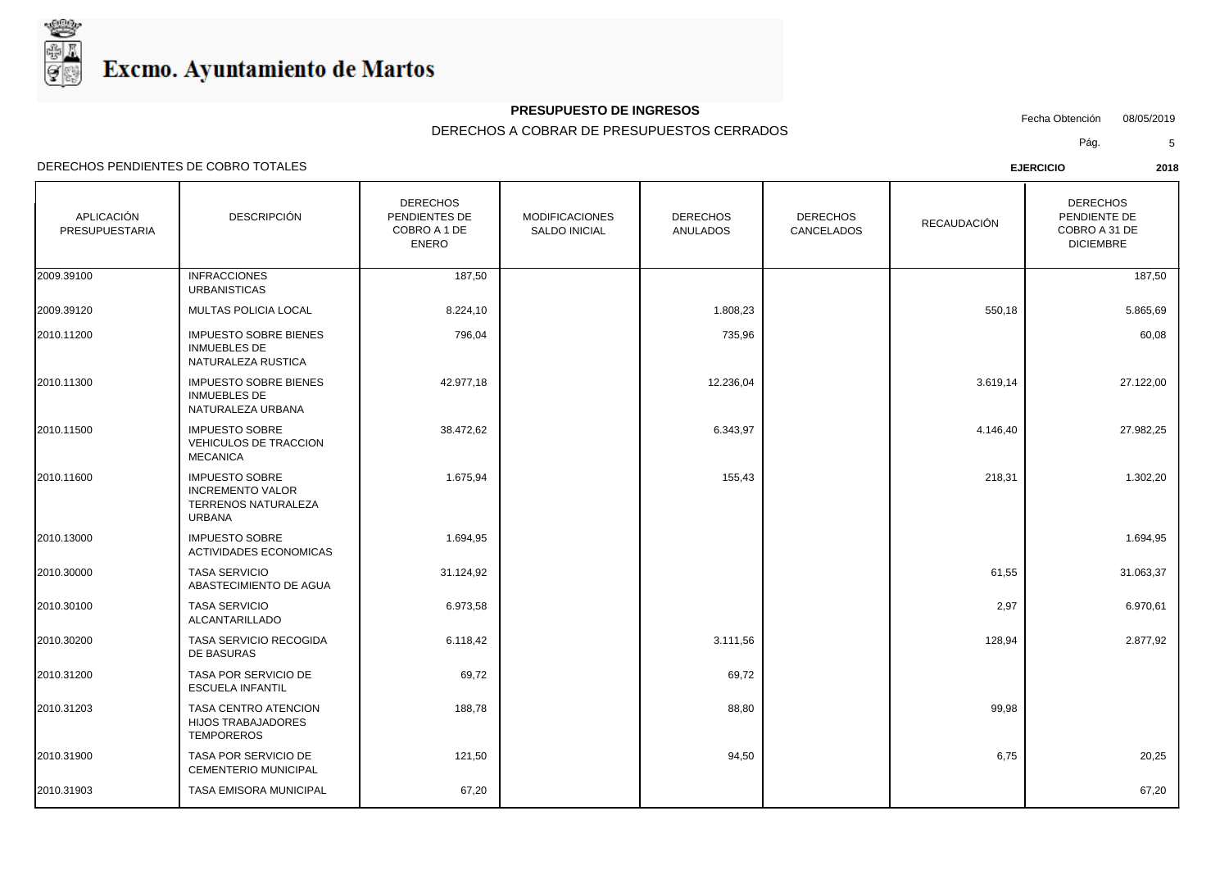

## **PRESUPUESTO DE INGRESOS**

Fecha Obtención 08/05/2019

DERECHOS A COBRAR DE PRESUPUESTOS CERRADOS

Pág. 5

| APLICACIÓN<br><b>PRESUPUESTARIA</b> | <b>DESCRIPCIÓN</b>                                                                              | <b>DERECHOS</b><br>PENDIENTES DE<br>COBRO A 1 DE<br><b>ENERO</b> | <b>MODIFICACIONES</b><br><b>SALDO INICIAL</b> | <b>DERECHOS</b><br><b>ANULADOS</b> | <b>DERECHOS</b><br><b>CANCELADOS</b> | <b>RECAUDACIÓN</b> | <b>DERECHOS</b><br>PENDIENTE DE<br>COBRO A 31 DE<br><b>DICIEMBRE</b> |  |
|-------------------------------------|-------------------------------------------------------------------------------------------------|------------------------------------------------------------------|-----------------------------------------------|------------------------------------|--------------------------------------|--------------------|----------------------------------------------------------------------|--|
| 2009.39100                          | <b>INFRACCIONES</b><br><b>URBANISTICAS</b>                                                      | 187,50                                                           |                                               |                                    |                                      |                    | 187,50                                                               |  |
| 2009.39120                          | MULTAS POLICIA LOCAL                                                                            | 8.224,10                                                         |                                               | 1.808,23                           |                                      | 550,18             | 5.865,69                                                             |  |
| 2010.11200                          | <b>IMPUESTO SOBRE BIENES</b><br>INMUEBLES DE<br>NATURALEZA RUSTICA                              | 796,04                                                           |                                               | 735,96                             |                                      |                    | 60,08                                                                |  |
| 2010.11300                          | <b>IMPUESTO SOBRE BIENES</b><br><b>INMUEBLES DE</b><br>NATURALEZA URBANA                        | 42.977,18                                                        |                                               | 12.236,04                          |                                      | 3.619,14           | 27.122,00                                                            |  |
| 2010.11500                          | <b>IMPUESTO SOBRE</b><br><b>VEHICULOS DE TRACCION</b><br><b>MECANICA</b>                        | 38.472,62                                                        |                                               | 6.343,97                           |                                      | 4.146,40           | 27.982,25                                                            |  |
| 2010.11600                          | <b>IMPUESTO SOBRE</b><br><b>INCREMENTO VALOR</b><br><b>TERRENOS NATURALEZA</b><br><b>URBANA</b> | 1.675,94                                                         |                                               | 155,43                             |                                      | 218,31             | 1.302,20                                                             |  |
| 2010.13000                          | <b>IMPUESTO SOBRE</b><br>ACTIVIDADES ECONOMICAS                                                 | 1.694,95                                                         |                                               |                                    |                                      |                    | 1.694,95                                                             |  |
| 2010.30000                          | <b>TASA SERVICIO</b><br>ABASTECIMIENTO DE AGUA                                                  | 31.124,92                                                        |                                               |                                    |                                      | 61,55              | 31.063,37                                                            |  |
| 2010.30100                          | <b>TASA SERVICIO</b><br>ALCANTARILLADO                                                          | 6.973,58                                                         |                                               |                                    |                                      | 2,97               | 6.970,61                                                             |  |
| 2010.30200                          | TASA SERVICIO RECOGIDA<br>DE BASURAS                                                            | 6.118,42                                                         |                                               | 3.111,56                           |                                      | 128,94             | 2.877,92                                                             |  |
| 2010.31200                          | TASA POR SERVICIO DE<br><b>ESCUELA INFANTIL</b>                                                 | 69,72                                                            |                                               | 69,72                              |                                      |                    |                                                                      |  |
| 2010.31203                          | TASA CENTRO ATENCION<br><b>HIJOS TRABAJADORES</b><br><b>TEMPOREROS</b>                          | 188,78                                                           |                                               | 88,80                              |                                      | 99,98              |                                                                      |  |
| 2010.31900                          | TASA POR SERVICIO DE<br><b>CEMENTERIO MUNICIPAL</b>                                             | 121,50                                                           |                                               | 94,50                              |                                      | 6,75               | 20,25                                                                |  |
| 2010.31903                          | TASA EMISORA MUNICIPAL                                                                          | 67,20                                                            |                                               |                                    |                                      |                    | 67,20                                                                |  |
|                                     |                                                                                                 |                                                                  |                                               |                                    |                                      |                    |                                                                      |  |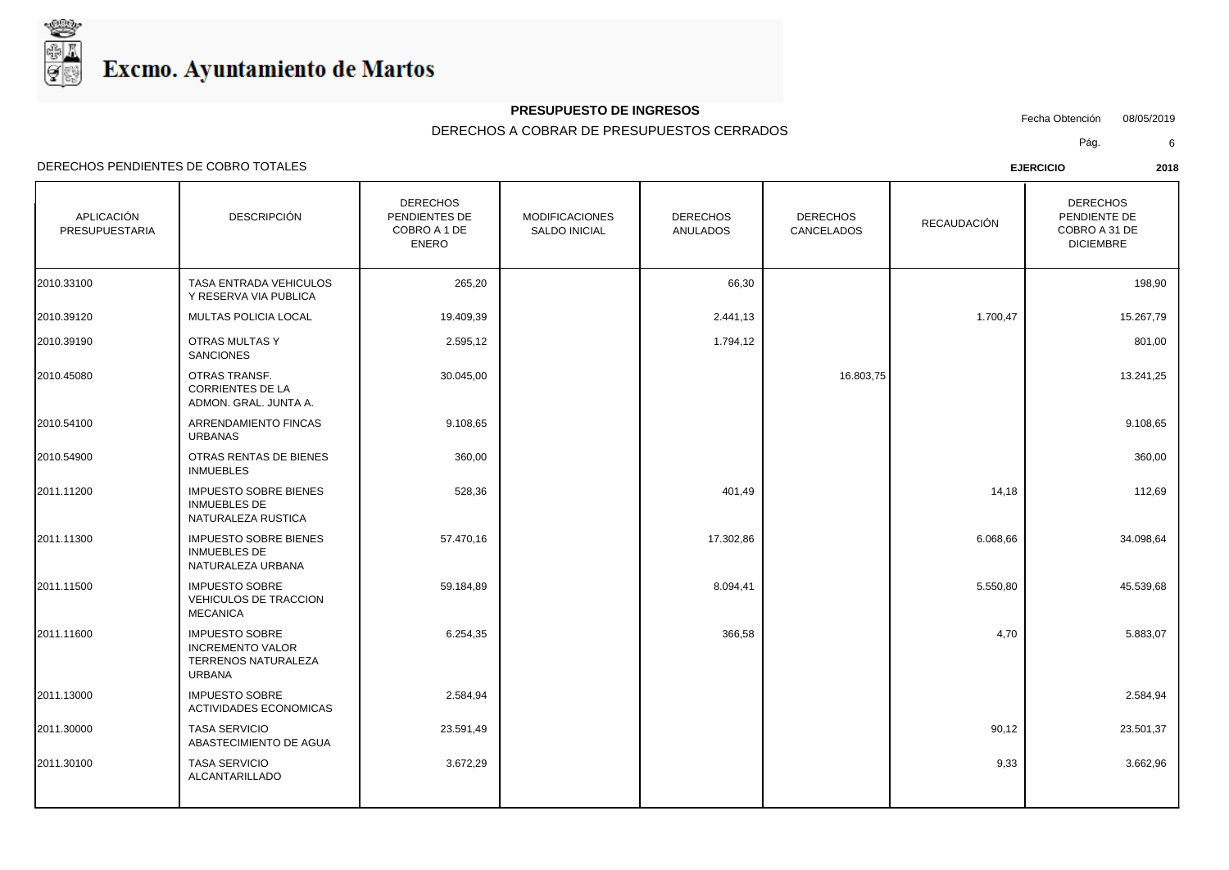

### **PRESUPUESTO DE INGRESOS**

Fecha Obtención 08/05/2019

DERECHOS A COBRAR DE PRESUPUESTOS CERRADOS

Pág. 6

| APLICACIÓN<br>PRESUPUESTARIA | <b>DESCRIPCIÓN</b>                                                                       | <b>DERECHOS</b><br>PENDIENTES DE<br>COBRO A 1 DE<br><b>ENERO</b> | <b>MODIFICACIONES</b><br><b>SALDO INICIAL</b> | <b>DERECHOS</b><br><b>ANULADOS</b> | <b>DERECHOS</b><br>CANCELADOS | <b>RECAUDACIÓN</b> | <b>DERECHOS</b><br>PENDIENTE DE<br>COBRO A 31 DE<br><b>DICIEMBRE</b> |
|------------------------------|------------------------------------------------------------------------------------------|------------------------------------------------------------------|-----------------------------------------------|------------------------------------|-------------------------------|--------------------|----------------------------------------------------------------------|
| 2010.33100                   | TASA ENTRADA VEHICULOS<br>Y RESERVA VIA PUBLICA                                          | 265,20                                                           |                                               | 66,30                              |                               |                    | 198,90                                                               |
| 2010.39120                   | MULTAS POLICIA LOCAL                                                                     | 19.409,39                                                        |                                               | 2.441,13                           |                               | 1.700,47           | 15.267,79                                                            |
| 2010.39190                   | OTRAS MULTAS Y<br><b>SANCIONES</b>                                                       | 2.595,12                                                         |                                               | 1.794,12                           |                               |                    | 801,00                                                               |
| 2010.45080                   | OTRAS TRANSF.<br><b>CORRIENTES DE LA</b><br>ADMON. GRAL. JUNTA A.                        | 30.045,00                                                        |                                               |                                    | 16.803,75                     |                    | 13.241,25                                                            |
| 2010.54100                   | <b>ARRENDAMIENTO FINCAS</b><br><b>URBANAS</b>                                            | 9.108,65                                                         |                                               |                                    |                               |                    | 9.108,65                                                             |
| 2010.54900                   | OTRAS RENTAS DE BIENES<br><b>INMUEBLES</b>                                               | 360,00                                                           |                                               |                                    |                               |                    | 360,00                                                               |
| 2011.11200                   | <b>IMPUESTO SOBRE BIENES</b><br><b>INMUEBLES DE</b><br>NATURALEZA RUSTICA                | 528,36                                                           |                                               | 401,49                             |                               | 14,18              | 112,69                                                               |
| 2011.11300                   | <b>IMPUESTO SOBRE BIENES</b><br><b>INMUEBLES DE</b><br>NATURALEZA URBANA                 | 57.470,16                                                        |                                               | 17.302,86                          |                               | 6.068,66           | 34.098,64                                                            |
| 2011.11500                   | <b>IMPUESTO SOBRE</b><br><b>VEHICULOS DE TRACCION</b><br><b>MECANICA</b>                 | 59.184,89                                                        |                                               | 8.094,41                           |                               | 5.550,80           | 45.539,68                                                            |
| 2011.11600                   | <b>IMPUESTO SOBRE</b><br><b>INCREMENTO VALOR</b><br><b>TERRENOS NATURALEZA</b><br>URBANA | 6.254,35                                                         |                                               | 366,58                             |                               | 4,70               | 5.883,07                                                             |
| 2011.13000                   | <b>IMPUESTO SOBRE</b><br><b>ACTIVIDADES ECONOMICAS</b>                                   | 2.584,94                                                         |                                               |                                    |                               |                    | 2.584,94                                                             |
| 2011.30000                   | <b>TASA SERVICIO</b><br>ABASTECIMIENTO DE AGUA                                           | 23.591,49                                                        |                                               |                                    |                               | 90,12              | 23.501,37                                                            |
| 2011.30100                   | <b>TASA SERVICIO</b><br>ALCANTARILLADO                                                   | 3.672,29                                                         |                                               |                                    |                               | 9,33               | 3.662,96                                                             |
|                              |                                                                                          |                                                                  |                                               |                                    |                               |                    |                                                                      |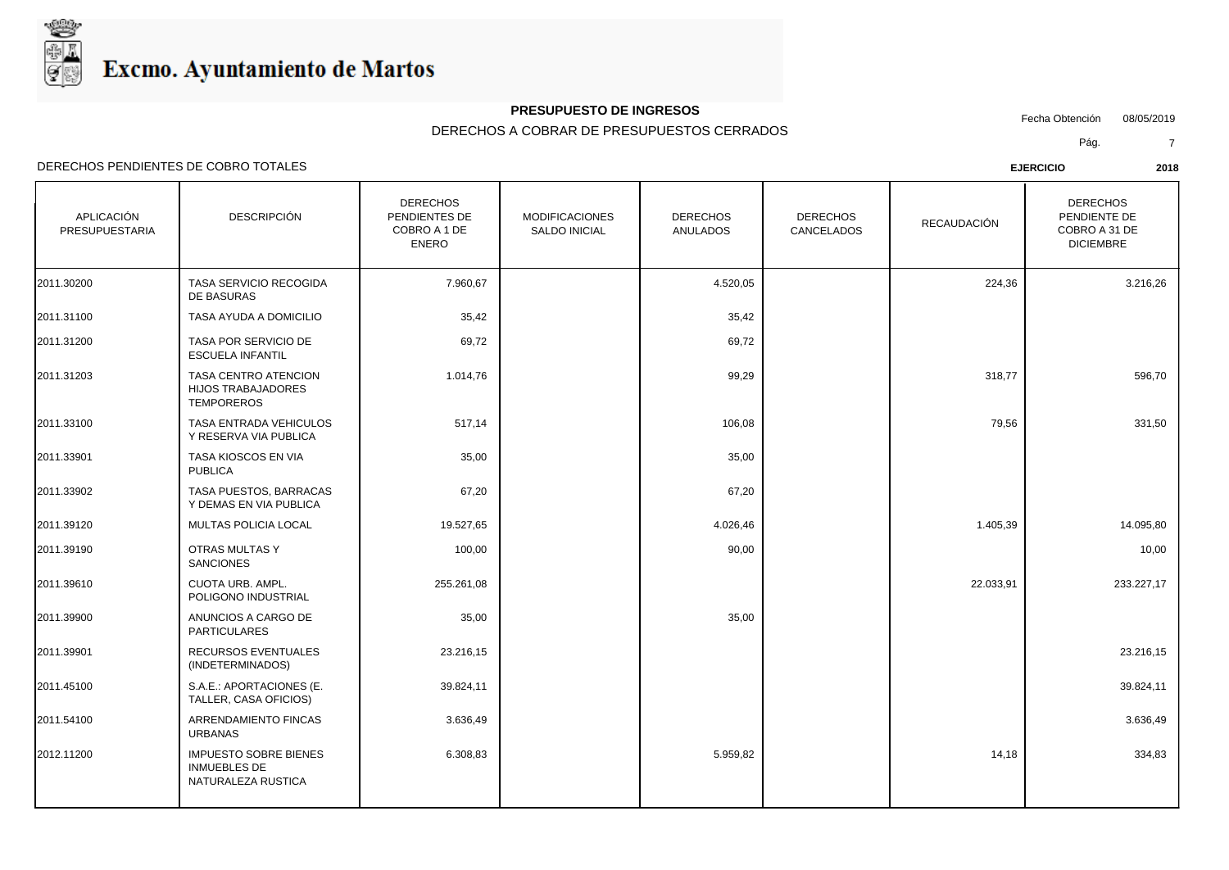

## **PRESUPUESTO DE INGRESOS**

Fecha Obtención 08/05/2019

DERECHOS A COBRAR DE PRESUPUESTOS CERRADOS

Pág. 7

| APLICACIÓN<br><b>PRESUPUESTARIA</b> | <b>DESCRIPCIÓN</b>                                                        | <b>DERECHOS</b><br>PENDIENTES DE<br>COBRO A 1 DE<br><b>ENERO</b> | <b>MODIFICACIONES</b><br><b>SALDO INICIAL</b> | <b>DERECHOS</b><br><b>ANULADOS</b> | <b>DERECHOS</b><br>CANCELADOS | RECAUDACIÓN | <b>DERECHOS</b><br>PENDIENTE DE<br>COBRO A 31 DE<br><b>DICIEMBRE</b> |
|-------------------------------------|---------------------------------------------------------------------------|------------------------------------------------------------------|-----------------------------------------------|------------------------------------|-------------------------------|-------------|----------------------------------------------------------------------|
| 2011.30200                          | TASA SERVICIO RECOGIDA<br>DE BASURAS                                      | 7.960,67                                                         |                                               | 4.520,05                           |                               | 224,36      | 3.216,26                                                             |
| 2011.31100                          | TASA AYUDA A DOMICILIO                                                    | 35,42                                                            |                                               | 35,42                              |                               |             |                                                                      |
| 2011.31200                          | TASA POR SERVICIO DE<br><b>ESCUELA INFANTIL</b>                           | 69,72                                                            |                                               | 69,72                              |                               |             |                                                                      |
| 2011.31203                          | TASA CENTRO ATENCION<br><b>HIJOS TRABAJADORES</b><br><b>TEMPOREROS</b>    | 1.014,76                                                         |                                               | 99,29                              |                               | 318,77      | 596,70                                                               |
| 2011.33100                          | <b>TASA ENTRADA VEHICULOS</b><br>Y RESERVA VIA PUBLICA                    | 517,14                                                           |                                               | 106,08                             |                               | 79,56       | 331,50                                                               |
| 2011.33901                          | TASA KIOSCOS EN VIA<br><b>PUBLICA</b>                                     | 35,00                                                            |                                               | 35,00                              |                               |             |                                                                      |
| 2011.33902                          | TASA PUESTOS, BARRACAS<br>Y DEMAS EN VIA PUBLICA                          | 67,20                                                            |                                               | 67,20                              |                               |             |                                                                      |
| 2011.39120                          | MULTAS POLICIA LOCAL                                                      | 19.527,65                                                        |                                               | 4.026,46                           |                               | 1.405,39    | 14.095,80                                                            |
| 2011.39190                          | OTRAS MULTAS Y<br><b>SANCIONES</b>                                        | 100,00                                                           |                                               | 90,00                              |                               |             | 10,00                                                                |
| 2011.39610                          | CUOTA URB. AMPL.<br>POLIGONO INDUSTRIAL                                   | 255.261,08                                                       |                                               |                                    |                               | 22.033,91   | 233.227,17                                                           |
| 2011.39900                          | ANUNCIOS A CARGO DE<br>PARTICULARES                                       | 35,00                                                            |                                               | 35,00                              |                               |             |                                                                      |
| 2011.39901                          | RECURSOS EVENTUALES<br>(INDETERMINADOS)                                   | 23.216,15                                                        |                                               |                                    |                               |             | 23.216,15                                                            |
| 2011.45100                          | S.A.E.: APORTACIONES (E.<br>TALLER, CASA OFICIOS)                         | 39.824,11                                                        |                                               |                                    |                               |             | 39.824,11                                                            |
| 2011.54100                          | ARRENDAMIENTO FINCAS<br><b>URBANAS</b>                                    | 3.636,49                                                         |                                               |                                    |                               |             | 3.636,49                                                             |
| 2012.11200                          | <b>IMPUESTO SOBRE BIENES</b><br><b>INMUEBLES DE</b><br>NATURALEZA RUSTICA | 6.308,83                                                         |                                               | 5.959,82                           |                               | 14,18       | 334,83                                                               |
|                                     |                                                                           |                                                                  |                                               |                                    |                               |             |                                                                      |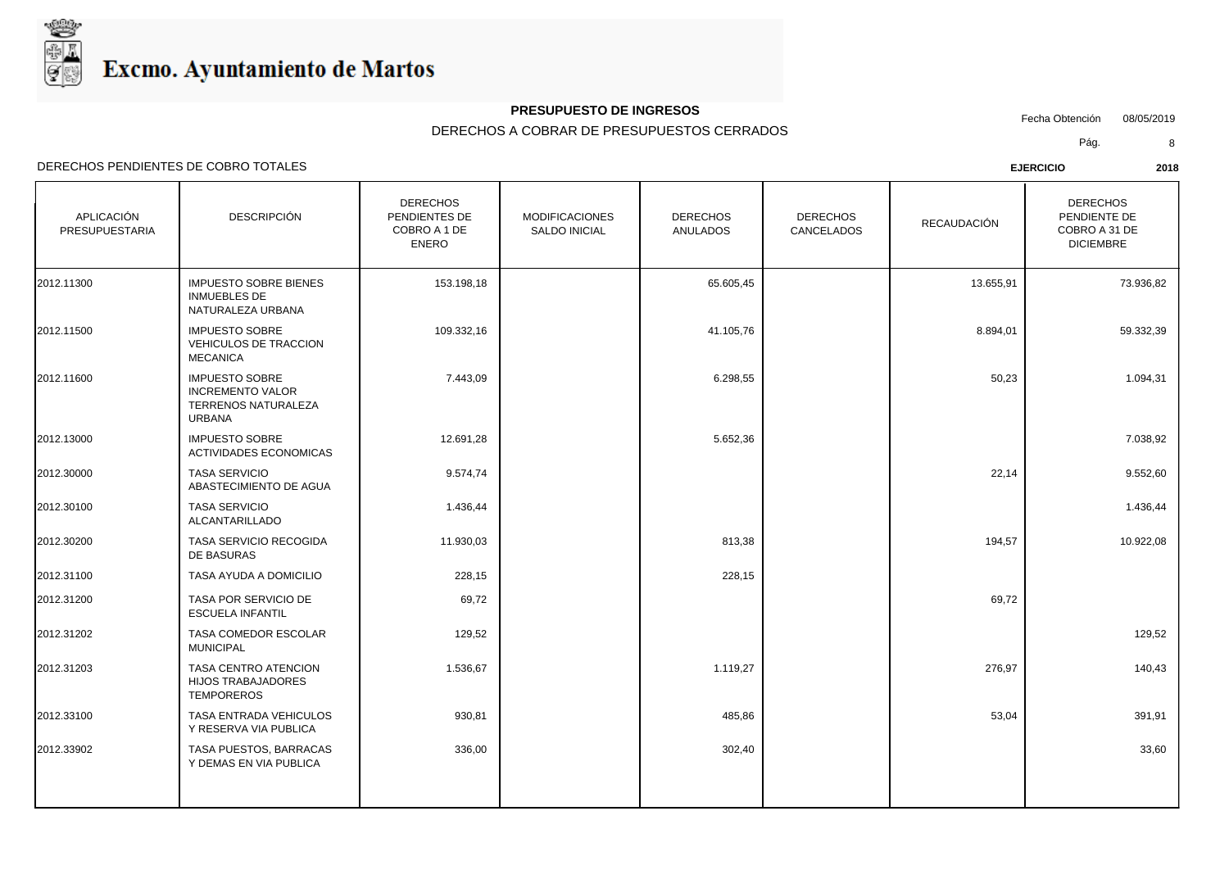

## **PRESUPUESTO DE INGRESOS**

Fecha Obtención 08/05/2019

DERECHOS A COBRAR DE PRESUPUESTOS CERRADOS

Pág. 8

| <b>APLICACIÓN</b><br>PRESUPUESTARIA | <b>DESCRIPCIÓN</b>                                                                       | <b>DERECHOS</b><br>PENDIENTES DE<br>COBRO A 1 DE<br><b>ENERO</b> | <b>MODIFICACIONES</b><br>SALDO INICIAL | <b>DERECHOS</b><br><b>ANULADOS</b> | <b>DERECHOS</b><br>CANCELADOS | RECAUDACIÓN | <b>DERECHOS</b><br>PENDIENTE DE<br>COBRO A 31 DE<br><b>DICIEMBRE</b> |
|-------------------------------------|------------------------------------------------------------------------------------------|------------------------------------------------------------------|----------------------------------------|------------------------------------|-------------------------------|-------------|----------------------------------------------------------------------|
| 2012.11300                          | <b>IMPUESTO SOBRE BIENES</b><br><b>INMUEBLES DE</b><br>NATURALEZA URBANA                 | 153.198,18                                                       |                                        | 65.605,45                          |                               | 13.655,91   | 73.936,82                                                            |
| 2012.11500                          | <b>IMPUESTO SOBRE</b><br>VEHICULOS DE TRACCION<br><b>MECANICA</b>                        | 109.332,16                                                       |                                        | 41.105,76                          |                               | 8.894,01    | 59.332,39                                                            |
| 2012.11600                          | <b>IMPUESTO SOBRE</b><br><b>INCREMENTO VALOR</b><br>TERRENOS NATURALEZA<br><b>URBANA</b> | 7.443,09                                                         |                                        | 6.298,55                           |                               | 50,23       | 1.094,31                                                             |
| 2012.13000                          | <b>IMPUESTO SOBRE</b><br>ACTIVIDADES ECONOMICAS                                          | 12.691,28                                                        |                                        | 5.652,36                           |                               |             | 7.038,92                                                             |
| 2012.30000                          | <b>TASA SERVICIO</b><br>ABASTECIMIENTO DE AGUA                                           | 9.574,74                                                         |                                        |                                    |                               | 22,14       | 9.552,60                                                             |
| 2012.30100                          | <b>TASA SERVICIO</b><br>ALCANTARILLADO                                                   | 1.436,44                                                         |                                        |                                    |                               |             | 1.436,44                                                             |
| 2012.30200                          | TASA SERVICIO RECOGIDA<br>DE BASURAS                                                     | 11.930,03                                                        |                                        | 813,38                             |                               | 194,57      | 10.922,08                                                            |
| 2012.31100                          | TASA AYUDA A DOMICILIO                                                                   | 228,15                                                           |                                        | 228,15                             |                               |             |                                                                      |
| 2012.31200                          | TASA POR SERVICIO DE<br><b>ESCUELA INFANTIL</b>                                          | 69,72                                                            |                                        |                                    |                               | 69,72       |                                                                      |
| 2012.31202                          | TASA COMEDOR ESCOLAR<br><b>MUNICIPAL</b>                                                 | 129,52                                                           |                                        |                                    |                               |             | 129,52                                                               |
| 2012.31203                          | TASA CENTRO ATENCION<br><b>HIJOS TRABAJADORES</b><br><b>TEMPOREROS</b>                   | 1.536,67                                                         |                                        | 1.119,27                           |                               | 276,97      | 140,43                                                               |
| 2012.33100                          | TASA ENTRADA VEHICULOS<br>Y RESERVA VIA PUBLICA                                          | 930,81                                                           |                                        | 485,86                             |                               | 53,04       | 391,91                                                               |
| 2012.33902                          | TASA PUESTOS, BARRACAS<br>Y DEMAS EN VIA PUBLICA                                         | 336,00                                                           |                                        | 302,40                             |                               |             | 33,60                                                                |
|                                     |                                                                                          |                                                                  |                                        |                                    |                               |             |                                                                      |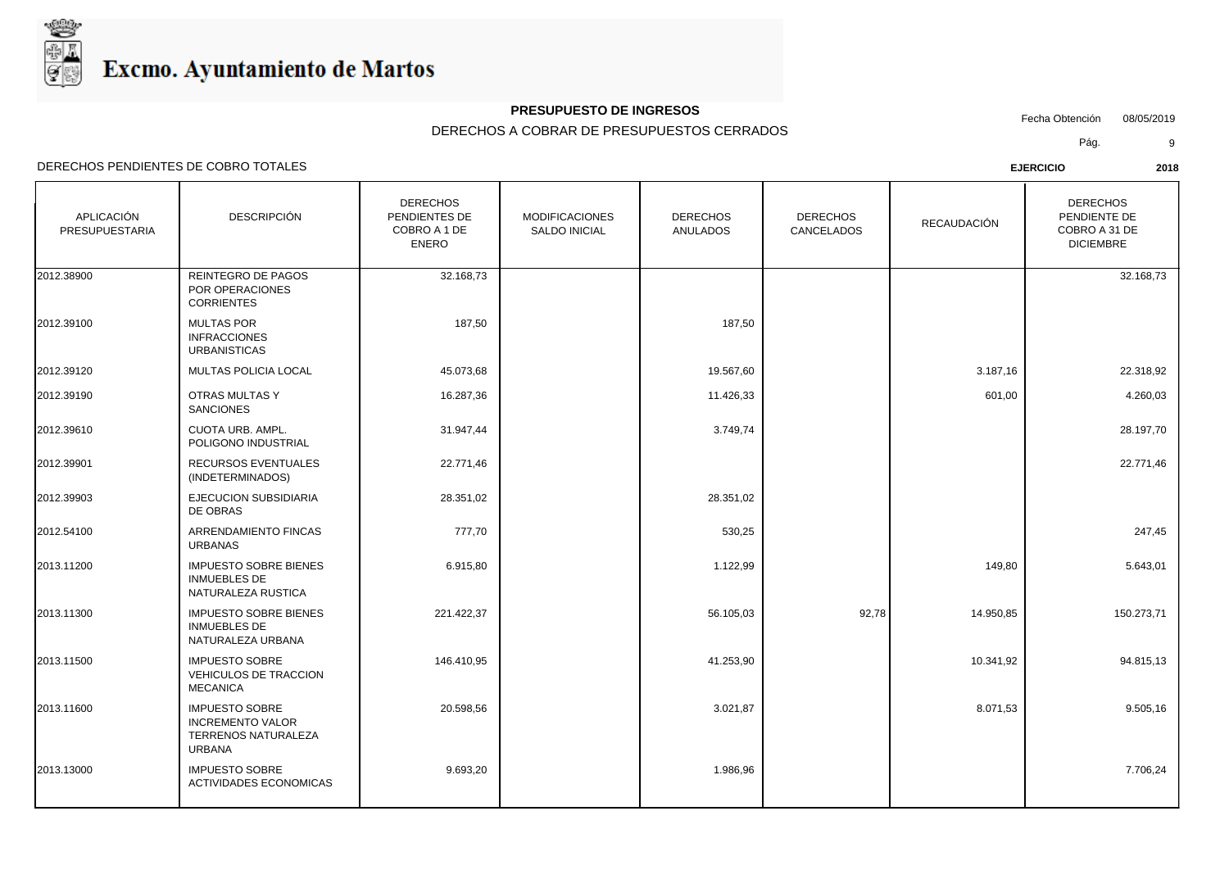

ACTIVIDADES ECONOMICAS

### **PRESUPUESTO DE INGRESOS**

Fecha Obtención 08/05/2019

DERECHOS A COBRAR DE PRESUPUESTOS CERRADOS

Pág. 9

| APLICACIÓN<br>PRESUPUESTARIA | <b>DESCRIPCIÓN</b>                                                                       | <b>DERECHOS</b><br>PENDIENTES DE<br>COBRO A 1 DE<br><b>ENERO</b> | <b>MODIFICACIONES</b><br><b>SALDO INICIAL</b> | <b>DERECHOS</b><br><b>ANULADOS</b> | <b>DERECHOS</b><br>CANCELADOS | RECAUDACIÓN | <b>DERECHOS</b><br>PENDIENTE DE<br>COBRO A 31 DE<br><b>DICIEMBRE</b> |
|------------------------------|------------------------------------------------------------------------------------------|------------------------------------------------------------------|-----------------------------------------------|------------------------------------|-------------------------------|-------------|----------------------------------------------------------------------|
| 2012.38900                   | REINTEGRO DE PAGOS<br>POR OPERACIONES<br><b>CORRIENTES</b>                               | 32.168,73                                                        |                                               |                                    |                               |             | 32.168,73                                                            |
| 2012.39100                   | <b>MULTAS POR</b><br><b>INFRACCIONES</b><br><b>URBANISTICAS</b>                          | 187,50                                                           |                                               | 187,50                             |                               |             |                                                                      |
| 2012.39120                   | <b>MULTAS POLICIA LOCAL</b>                                                              | 45.073,68                                                        |                                               | 19.567,60                          |                               | 3.187,16    | 22.318,92                                                            |
| 2012.39190                   | OTRAS MULTAS Y<br><b>SANCIONES</b>                                                       | 16.287,36                                                        |                                               | 11.426,33                          |                               | 601,00      | 4.260,03                                                             |
| 2012.39610                   | <b>CUOTA URB, AMPL.</b><br>POLIGONO INDUSTRIAL                                           | 31.947,44                                                        |                                               | 3.749,74                           |                               |             | 28.197,70                                                            |
| 2012.39901                   | RECURSOS EVENTUALES<br>(INDETERMINADOS)                                                  | 22.771,46                                                        |                                               |                                    |                               |             | 22.771,46                                                            |
| 2012.39903                   | <b>EJECUCION SUBSIDIARIA</b><br>DE OBRAS                                                 | 28.351,02                                                        |                                               | 28.351,02                          |                               |             |                                                                      |
| 2012.54100                   | ARRENDAMIENTO FINCAS<br><b>URBANAS</b>                                                   | 777,70                                                           |                                               | 530,25                             |                               |             | 247,45                                                               |
| 2013.11200                   | <b>IMPUESTO SOBRE BIENES</b><br><b>INMUEBLES DE</b><br>NATURALEZA RUSTICA                | 6.915,80                                                         |                                               | 1.122,99                           |                               | 149,80      | 5.643,01                                                             |
| 2013.11300                   | <b>IMPUESTO SOBRE BIENES</b><br><b>INMUEBLES DE</b><br>NATURALEZA URBANA                 | 221.422,37                                                       |                                               | 56.105,03                          | 92,78                         | 14.950,85   | 150.273,71                                                           |
| 2013.11500                   | <b>IMPUESTO SOBRE</b><br><b>VEHICULOS DE TRACCION</b><br><b>MECANICA</b>                 | 146.410,95                                                       |                                               | 41.253,90                          |                               | 10.341,92   | 94.815,13                                                            |
| 2013.11600                   | <b>IMPUESTO SOBRE</b><br><b>INCREMENTO VALOR</b><br>TERRENOS NATURALEZA<br><b>URBANA</b> | 20.598,56                                                        |                                               | 3.021,87                           |                               | 8.071,53    | 9.505,16                                                             |
| 2013.13000                   | <b>IMPUESTO SOBRE</b>                                                                    | 9.693,20                                                         |                                               | 1.986,96                           |                               |             | 7.706,24                                                             |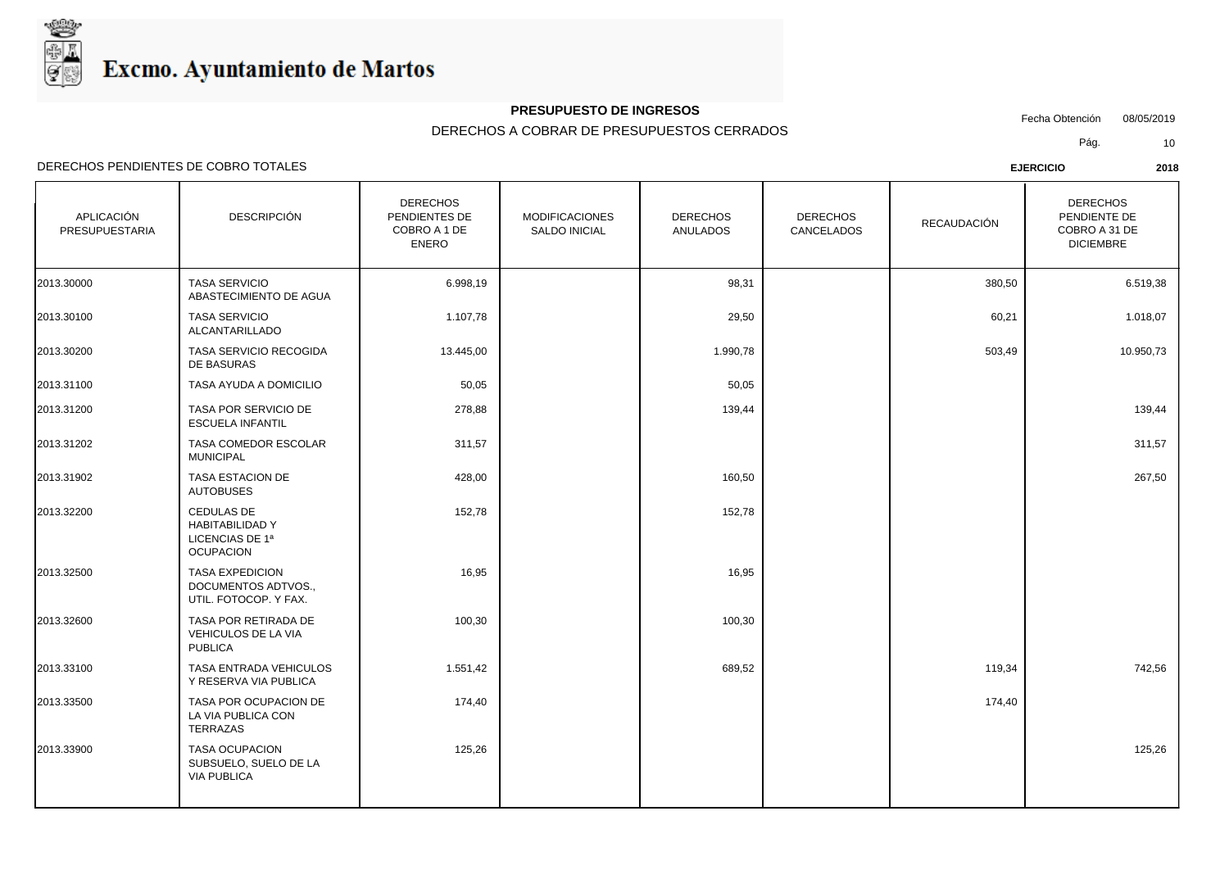

## **PRESUPUESTO DE INGRESOS**

Fecha Obtención 08/05/2019

DERECHOS A COBRAR DE PRESUPUESTOS CERRADOS

Pág. 10

| APLICACIÓN<br>PRESUPUESTARIA | <b>DESCRIPCIÓN</b>                                                                 | <b>DERECHOS</b><br>PENDIENTES DE<br>COBRO A 1 DE<br><b>ENERO</b> | <b>MODIFICACIONES</b><br>SALDO INICIAL | <b>DERECHOS</b><br><b>ANULADOS</b> | <b>DERECHOS</b><br>CANCELADOS | RECAUDACIÓN | <b>DERECHOS</b><br>PENDIENTE DE<br>COBRO A 31 DE<br><b>DICIEMBRE</b> |
|------------------------------|------------------------------------------------------------------------------------|------------------------------------------------------------------|----------------------------------------|------------------------------------|-------------------------------|-------------|----------------------------------------------------------------------|
| 2013.30000                   | <b>TASA SERVICIO</b><br>ABASTECIMIENTO DE AGUA                                     | 6.998,19                                                         |                                        | 98,31                              |                               | 380,50      | 6.519,38                                                             |
| 2013.30100                   | <b>TASA SERVICIO</b><br>ALCANTARILLADO                                             | 1.107,78                                                         |                                        | 29,50                              |                               | 60,21       | 1.018,07                                                             |
| 2013.30200                   | TASA SERVICIO RECOGIDA<br>DE BASURAS                                               | 13.445,00                                                        |                                        | 1.990,78                           |                               | 503,49      | 10.950,73                                                            |
| 2013.31100                   | TASA AYUDA A DOMICILIO                                                             | 50,05                                                            |                                        | 50,05                              |                               |             |                                                                      |
| 2013.31200                   | TASA POR SERVICIO DE<br><b>ESCUELA INFANTIL</b>                                    | 278,88                                                           |                                        | 139,44                             |                               |             | 139,44                                                               |
| 2013.31202                   | TASA COMEDOR ESCOLAR<br><b>MUNICIPAL</b>                                           | 311,57                                                           |                                        |                                    |                               |             | 311,57                                                               |
| 2013.31902                   | TASA ESTACION DE<br><b>AUTOBUSES</b>                                               | 428,00                                                           |                                        | 160,50                             |                               |             | 267,50                                                               |
| 2013.32200                   | <b>CEDULAS DE</b><br><b>HABITABILIDAD Y</b><br>LICENCIAS DE 1ª<br><b>OCUPACION</b> | 152,78                                                           |                                        | 152,78                             |                               |             |                                                                      |
| 2013.32500                   | <b>TASA EXPEDICION</b><br>DOCUMENTOS ADTVOS.,<br>UTIL. FOTOCOP. Y FAX.             | 16,95                                                            |                                        | 16,95                              |                               |             |                                                                      |
| 2013.32600                   | TASA POR RETIRADA DE<br>VEHICULOS DE LA VIA<br><b>PUBLICA</b>                      | 100,30                                                           |                                        | 100,30                             |                               |             |                                                                      |
| 2013.33100                   | TASA ENTRADA VEHICULOS<br>Y RESERVA VIA PUBLICA                                    | 1.551,42                                                         |                                        | 689,52                             |                               | 119,34      | 742,56                                                               |
| 2013.33500                   | TASA POR OCUPACION DE<br>LA VIA PUBLICA CON<br><b>TERRAZAS</b>                     | 174,40                                                           |                                        |                                    |                               | 174,40      |                                                                      |
| 2013.33900                   | <b>TASA OCUPACION</b><br>SUBSUELO, SUELO DE LA<br><b>VIA PUBLICA</b>               | 125,26                                                           |                                        |                                    |                               |             | 125,26                                                               |
|                              |                                                                                    |                                                                  |                                        |                                    |                               |             |                                                                      |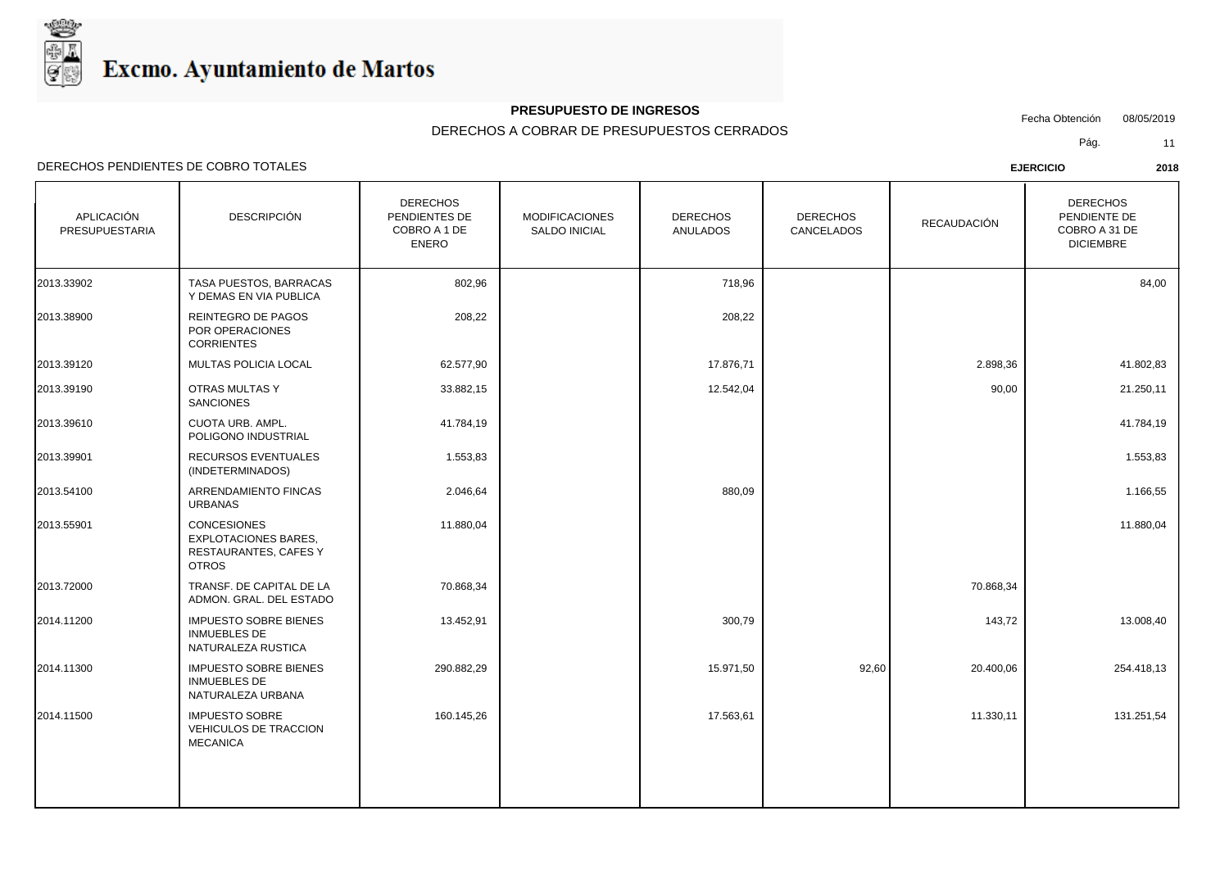

## **PRESUPUESTO DE INGRESOS**

Fecha Obtención 08/05/2019

DERECHOS A COBRAR DE PRESUPUESTOS CERRADOS

Pág. 11

| <b>APLICACIÓN</b><br>PRESUPUESTARIA | <b>DESCRIPCIÓN</b>                                                                         | <b>DERECHOS</b><br>PENDIENTES DE<br>COBRO A 1 DE<br><b>ENERO</b> | <b>MODIFICACIONES</b><br><b>SALDO INICIAL</b> | <b>DERECHOS</b><br><b>ANULADOS</b> | <b>DERECHOS</b><br>CANCELADOS | RECAUDACIÓN | <b>DERECHOS</b><br>PENDIENTE DE<br>COBRO A 31 DE<br><b>DICIEMBRE</b> |
|-------------------------------------|--------------------------------------------------------------------------------------------|------------------------------------------------------------------|-----------------------------------------------|------------------------------------|-------------------------------|-------------|----------------------------------------------------------------------|
| 2013.33902                          | TASA PUESTOS, BARRACAS<br>Y DEMAS EN VIA PUBLICA                                           | 802,96                                                           |                                               | 718,96                             |                               |             | 84,00                                                                |
| 2013.38900                          | REINTEGRO DE PAGOS<br>POR OPERACIONES<br><b>CORRIENTES</b>                                 | 208,22                                                           |                                               | 208,22                             |                               |             |                                                                      |
| 2013.39120                          | MULTAS POLICIA LOCAL                                                                       | 62.577,90                                                        |                                               | 17.876,71                          |                               | 2.898,36    | 41.802,83                                                            |
| 2013.39190                          | <b>OTRAS MULTAS Y</b><br><b>SANCIONES</b>                                                  | 33.882,15                                                        |                                               | 12.542,04                          |                               | 90,00       | 21.250,11                                                            |
| 2013.39610                          | <b>CUOTA URB. AMPL.</b><br>POLIGONO INDUSTRIAL                                             | 41.784,19                                                        |                                               |                                    |                               |             | 41.784,19                                                            |
| 2013.39901                          | RECURSOS EVENTUALES<br>(INDETERMINADOS)                                                    | 1.553,83                                                         |                                               |                                    |                               |             | 1.553,83                                                             |
| 2013.54100                          | ARRENDAMIENTO FINCAS<br><b>URBANAS</b>                                                     | 2.046,64                                                         |                                               | 880,09                             |                               |             | 1.166,55                                                             |
| 2013.55901                          | <b>CONCESIONES</b><br><b>EXPLOTACIONES BARES,</b><br>RESTAURANTES, CAFES Y<br><b>OTROS</b> | 11.880,04                                                        |                                               |                                    |                               |             | 11.880,04                                                            |
| 2013.72000                          | TRANSF. DE CAPITAL DE LA<br>ADMON. GRAL. DEL ESTADO                                        | 70.868,34                                                        |                                               |                                    |                               | 70.868,34   |                                                                      |
| 2014.11200                          | <b>IMPUESTO SOBRE BIENES</b><br><b>INMUEBLES DE</b><br>NATURALEZA RUSTICA                  | 13.452,91                                                        |                                               | 300,79                             |                               | 143,72      | 13.008,40                                                            |
| 2014.11300                          | <b>IMPUESTO SOBRE BIENES</b><br><b>INMUEBLES DE</b><br>NATURALEZA URBANA                   | 290.882,29                                                       |                                               | 15.971,50                          | 92,60                         | 20.400,06   | 254.418,13                                                           |
| 2014.11500                          | <b>IMPUESTO SOBRE</b><br>VEHICULOS DE TRACCION<br><b>MECANICA</b>                          | 160.145,26                                                       |                                               | 17.563,61                          |                               | 11.330,11   | 131.251,54                                                           |
|                                     |                                                                                            |                                                                  |                                               |                                    |                               |             |                                                                      |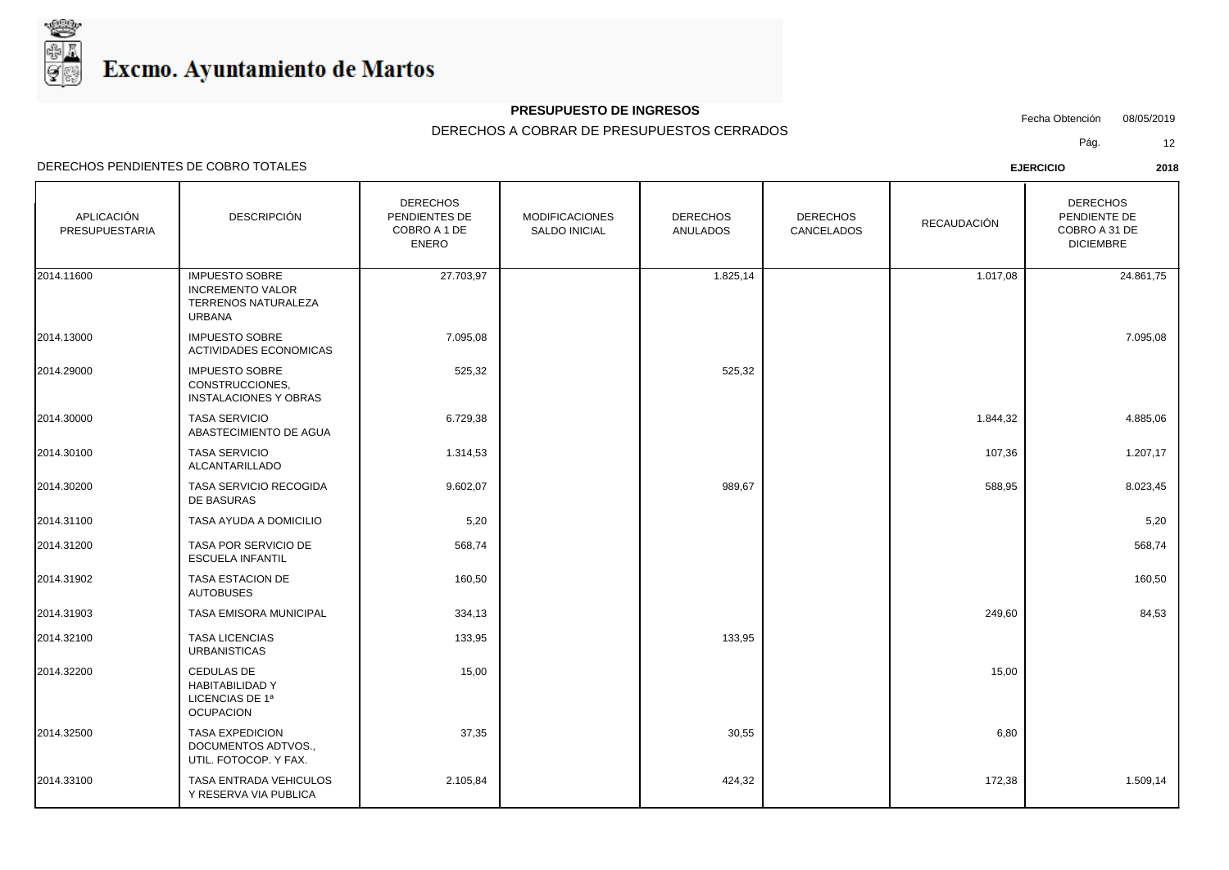

## **PRESUPUESTO DE INGRESOS**

Fecha Obtención 08/05/2019

DERECHOS A COBRAR DE PRESUPUESTOS CERRADOS

Pág. 12

| APLICACIÓN<br>PRESUPUESTARIA | <b>DESCRIPCIÓN</b>                                                                       | <b>DERECHOS</b><br>PENDIENTES DE<br>COBRO A 1 DE<br><b>ENERO</b> | <b>MODIFICACIONES</b><br><b>SALDO INICIAL</b> | <b>DERECHOS</b><br><b>ANULADOS</b> | <b>DERECHOS</b><br><b>CANCELADOS</b> | RECAUDACIÓN | <b>DERECHOS</b><br>PENDIENTE DE<br>COBRO A 31 DE<br><b>DICIEMBRE</b> |
|------------------------------|------------------------------------------------------------------------------------------|------------------------------------------------------------------|-----------------------------------------------|------------------------------------|--------------------------------------|-------------|----------------------------------------------------------------------|
| 2014.11600                   | <b>IMPUESTO SOBRE</b><br><b>INCREMENTO VALOR</b><br>TERRENOS NATURALEZA<br><b>URBANA</b> | 27.703,97                                                        |                                               | 1.825,14                           |                                      | 1.017,08    | 24.861,75                                                            |
| 2014.13000                   | <b>IMPUESTO SOBRE</b><br><b>ACTIVIDADES ECONOMICAS</b>                                   | 7.095,08                                                         |                                               |                                    |                                      |             | 7.095,08                                                             |
| 2014.29000                   | <b>IMPUESTO SOBRE</b><br>CONSTRUCCIONES,<br><b>INSTALACIONES Y OBRAS</b>                 | 525,32                                                           |                                               | 525,32                             |                                      |             |                                                                      |
| 2014.30000                   | <b>TASA SERVICIO</b><br>ABASTECIMIENTO DE AGUA                                           | 6.729,38                                                         |                                               |                                    |                                      | 1.844,32    | 4.885,06                                                             |
| 2014.30100                   | <b>TASA SERVICIO</b><br>ALCANTARILLADO                                                   | 1.314,53                                                         |                                               |                                    |                                      | 107,36      | 1.207,17                                                             |
| 2014.30200                   | TASA SERVICIO RECOGIDA<br>DE BASURAS                                                     | 9.602,07                                                         |                                               | 989,67                             |                                      | 588,95      | 8.023,45                                                             |
| 2014.31100                   | TASA AYUDA A DOMICILIO                                                                   | 5,20                                                             |                                               |                                    |                                      |             | 5,20                                                                 |
| 2014.31200                   | TASA POR SERVICIO DE<br><b>ESCUELA INFANTIL</b>                                          | 568,74                                                           |                                               |                                    |                                      |             | 568,74                                                               |
| 2014.31902                   | TASA ESTACION DE<br><b>AUTOBUSES</b>                                                     | 160,50                                                           |                                               |                                    |                                      |             | 160,50                                                               |
| 2014.31903                   | TASA EMISORA MUNICIPAL                                                                   | 334,13                                                           |                                               |                                    |                                      | 249,60      | 84,53                                                                |
| 2014.32100                   | <b>TASA LICENCIAS</b><br><b>URBANISTICAS</b>                                             | 133,95                                                           |                                               | 133,95                             |                                      |             |                                                                      |
| 2014.32200                   | <b>CEDULAS DE</b><br><b>HABITABILIDAD Y</b><br>LICENCIAS DE 1ª<br><b>OCUPACION</b>       | 15,00                                                            |                                               |                                    |                                      | 15,00       |                                                                      |
| 2014.32500                   | <b>TASA EXPEDICION</b><br>DOCUMENTOS ADTVOS.,<br>UTIL. FOTOCOP. Y FAX.                   | 37,35                                                            |                                               | 30,55                              |                                      | 6,80        |                                                                      |
| 2014.33100                   | TASA ENTRADA VEHICULOS<br>Y RESERVA VIA PUBLICA                                          | 2.105,84                                                         |                                               | 424,32                             |                                      | 172,38      | 1.509,14                                                             |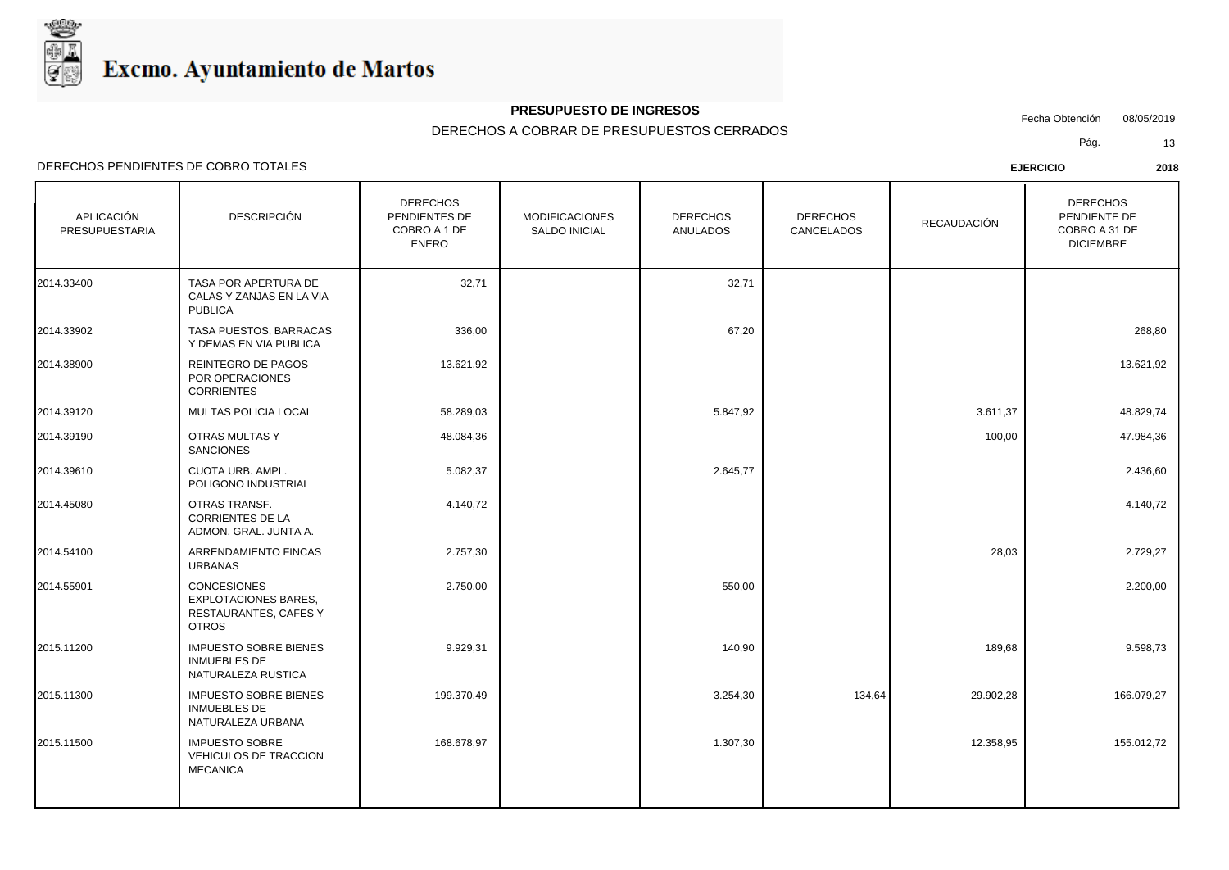

## **PRESUPUESTO DE INGRESOS**

Fecha Obtención 08/05/2019

DERECHOS A COBRAR DE PRESUPUESTOS CERRADOS

Pág. 13

| APLICACIÓN<br>PRESUPUESTARIA | <b>DESCRIPCIÓN</b>                                                                         | <b>DERECHOS</b><br>PENDIENTES DE<br>COBRO A 1 DE<br><b>ENERO</b> | <b>MODIFICACIONES</b><br>SALDO INICIAL | <b>DERECHOS</b><br><b>ANULADOS</b> | <b>DERECHOS</b><br>CANCELADOS | RECAUDACIÓN | <b>DERECHOS</b><br>PENDIENTE DE<br>COBRO A 31 DE<br><b>DICIEMBRE</b> |
|------------------------------|--------------------------------------------------------------------------------------------|------------------------------------------------------------------|----------------------------------------|------------------------------------|-------------------------------|-------------|----------------------------------------------------------------------|
| 2014.33400                   | TASA POR APERTURA DE<br>CALAS Y ZANJAS EN LA VIA<br><b>PUBLICA</b>                         | 32,71                                                            |                                        | 32,71                              |                               |             |                                                                      |
| 2014.33902                   | TASA PUESTOS, BARRACAS<br>Y DEMAS EN VIA PUBLICA                                           | 336,00                                                           |                                        | 67,20                              |                               |             | 268,80                                                               |
| 2014.38900                   | REINTEGRO DE PAGOS<br>POR OPERACIONES<br><b>CORRIENTES</b>                                 | 13.621,92                                                        |                                        |                                    |                               |             | 13.621,92                                                            |
| 2014.39120                   | <b>MULTAS POLICIA LOCAL</b>                                                                | 58.289,03                                                        |                                        | 5.847,92                           |                               | 3.611,37    | 48.829,74                                                            |
| 2014.39190                   | OTRAS MULTAS Y<br><b>SANCIONES</b>                                                         | 48.084,36                                                        |                                        |                                    |                               | 100,00      | 47.984,36                                                            |
| 2014.39610                   | CUOTA URB. AMPL.<br>POLIGONO INDUSTRIAL                                                    | 5.082,37                                                         |                                        | 2.645,77                           |                               |             | 2.436,60                                                             |
| 2014.45080                   | OTRAS TRANSF.<br><b>CORRIENTES DE LA</b><br>ADMON. GRAL. JUNTA A.                          | 4.140,72                                                         |                                        |                                    |                               |             | 4.140,72                                                             |
| 2014.54100                   | ARRENDAMIENTO FINCAS<br><b>URBANAS</b>                                                     | 2.757,30                                                         |                                        |                                    |                               | 28,03       | 2.729,27                                                             |
| 2014.55901                   | <b>CONCESIONES</b><br><b>EXPLOTACIONES BARES,</b><br>RESTAURANTES, CAFES Y<br><b>OTROS</b> | 2.750,00                                                         |                                        | 550,00                             |                               |             | 2.200,00                                                             |
| 2015.11200                   | <b>IMPUESTO SOBRE BIENES</b><br><b>INMUEBLES DE</b><br>NATURALEZA RUSTICA                  | 9.929,31                                                         |                                        | 140,90                             |                               | 189,68      | 9.598,73                                                             |
| 2015.11300                   | <b>IMPUESTO SOBRE BIENES</b><br><b>INMUEBLES DE</b><br>NATURALEZA URBANA                   | 199.370,49                                                       |                                        | 3.254,30                           | 134,64                        | 29.902,28   | 166.079,27                                                           |
| 2015.11500                   | <b>IMPUESTO SOBRE</b><br>VEHICULOS DE TRACCION<br><b>MECANICA</b>                          | 168.678,97                                                       |                                        | 1.307,30                           |                               | 12.358,95   | 155.012,72                                                           |
|                              |                                                                                            |                                                                  |                                        |                                    |                               |             |                                                                      |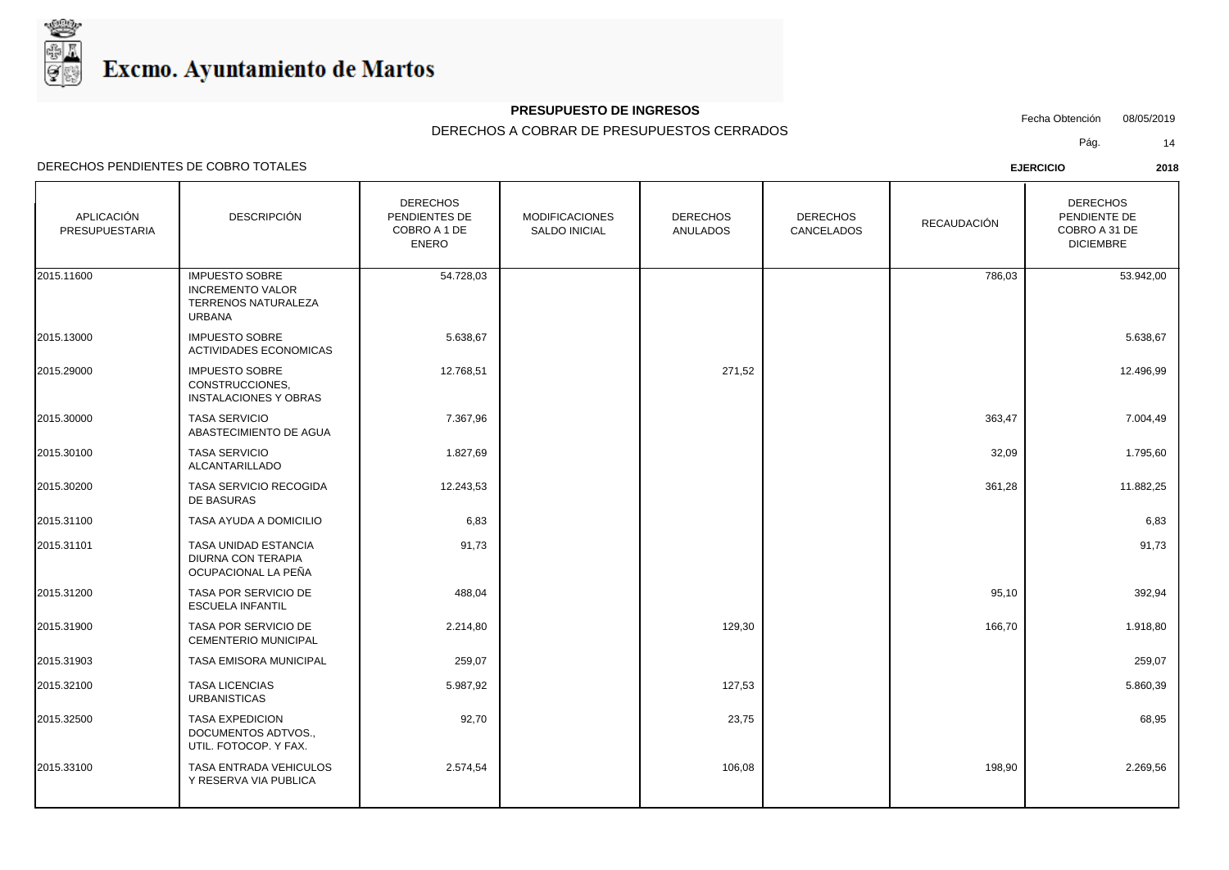

## **PRESUPUESTO DE INGRESOS**

Fecha Obtención 08/05/2019

DERECHOS A COBRAR DE PRESUPUESTOS CERRADOS

Pág. 14

| APLICACIÓN<br><b>PRESUPUESTARIA</b> | <b>DESCRIPCIÓN</b>                                                                       | <b>DERECHOS</b><br>PENDIENTES DE<br>COBRO A 1 DE<br><b>ENERO</b> | <b>MODIFICACIONES</b><br><b>SALDO INICIAL</b> | <b>DERECHOS</b><br><b>ANULADOS</b> | <b>DERECHOS</b><br>CANCELADOS | <b>RECAUDACIÓN</b> | <b>DERECHOS</b><br>PENDIENTE DE<br>COBRO A 31 DE<br><b>DICIEMBRE</b> |
|-------------------------------------|------------------------------------------------------------------------------------------|------------------------------------------------------------------|-----------------------------------------------|------------------------------------|-------------------------------|--------------------|----------------------------------------------------------------------|
| 2015.11600                          | <b>IMPUESTO SOBRE</b><br><b>INCREMENTO VALOR</b><br><b>TERRENOS NATURALEZA</b><br>URBANA | 54.728,03                                                        |                                               |                                    |                               | 786,03             | 53.942,00                                                            |
| 2015.13000                          | <b>IMPUESTO SOBRE</b><br><b>ACTIVIDADES ECONOMICAS</b>                                   | 5.638,67                                                         |                                               |                                    |                               |                    | 5.638,67                                                             |
| 2015.29000                          | <b>IMPUESTO SOBRE</b><br>CONSTRUCCIONES,<br><b>INSTALACIONES Y OBRAS</b>                 | 12.768,51                                                        |                                               | 271,52                             |                               |                    | 12.496,99                                                            |
| 2015.30000                          | <b>TASA SERVICIO</b><br>ABASTECIMIENTO DE AGUA                                           | 7.367,96                                                         |                                               |                                    |                               | 363,47             | 7.004,49                                                             |
| 2015.30100                          | <b>TASA SERVICIO</b><br>ALCANTARILLADO                                                   | 1.827,69                                                         |                                               |                                    |                               | 32,09              | 1.795,60                                                             |
| 2015.30200                          | TASA SERVICIO RECOGIDA<br>DE BASURAS                                                     | 12.243,53                                                        |                                               |                                    |                               | 361,28             | 11.882,25                                                            |
| 2015.31100                          | TASA AYUDA A DOMICILIO                                                                   | 6,83                                                             |                                               |                                    |                               |                    | 6,83                                                                 |
| 2015.31101                          | <b>TASA UNIDAD ESTANCIA</b><br><b>DIURNA CON TERAPIA</b><br>OCUPACIONAL LA PEÑA          | 91,73                                                            |                                               |                                    |                               |                    | 91,73                                                                |
| 2015.31200                          | TASA POR SERVICIO DE<br><b>ESCUELA INFANTIL</b>                                          | 488,04                                                           |                                               |                                    |                               | 95,10              | 392,94                                                               |
| 2015.31900                          | <b>TASA POR SERVICIO DE</b><br><b>CEMENTERIO MUNICIPAL</b>                               | 2.214,80                                                         |                                               | 129,30                             |                               | 166,70             | 1.918,80                                                             |
| 2015.31903                          | <b>TASA EMISORA MUNICIPAL</b>                                                            | 259,07                                                           |                                               |                                    |                               |                    | 259,07                                                               |
| 2015.32100                          | <b>TASA LICENCIAS</b><br><b>URBANISTICAS</b>                                             | 5.987,92                                                         |                                               | 127,53                             |                               |                    | 5.860,39                                                             |
| 2015.32500                          | <b>TASA EXPEDICION</b><br>DOCUMENTOS ADTVOS.,<br>UTIL. FOTOCOP. Y FAX.                   | 92,70                                                            |                                               | 23,75                              |                               |                    | 68,95                                                                |
| 2015.33100                          | TASA ENTRADA VEHICULOS<br>Y RESERVA VIA PUBLICA                                          | 2.574,54                                                         |                                               | 106,08                             |                               | 198,90             | 2.269,56                                                             |
|                                     |                                                                                          |                                                                  |                                               |                                    |                               |                    |                                                                      |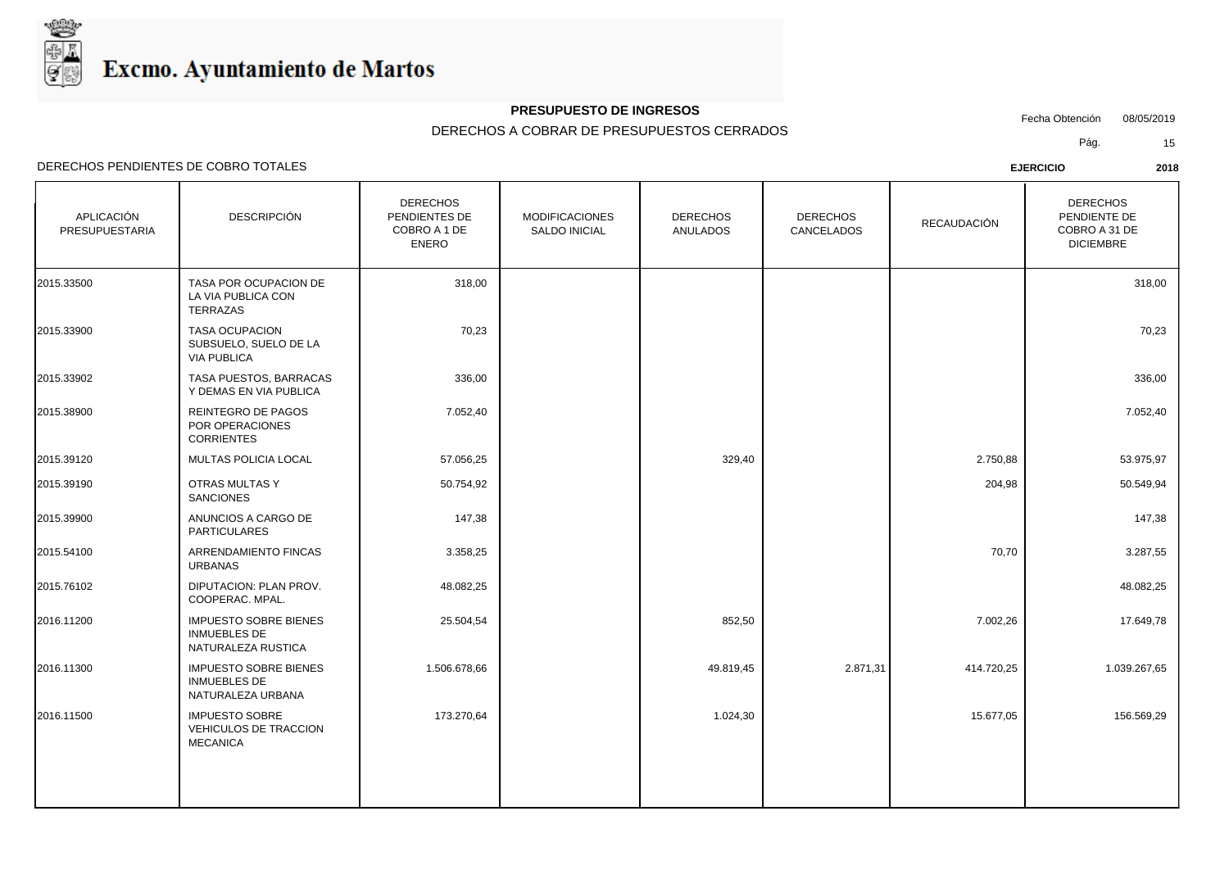

## **PRESUPUESTO DE INGRESOS**

Fecha Obtención 08/05/2019

DERECHOS A COBRAR DE PRESUPUESTOS CERRADOS

Pág. 15

| APLICACIÓN<br>PRESUPUESTARIA | <b>DESCRIPCIÓN</b>                                                        | <b>DERECHOS</b><br>PENDIENTES DE<br>COBRO A 1 DE<br><b>ENERO</b> | <b>MODIFICACIONES</b><br>SALDO INICIAL | <b>DERECHOS</b><br><b>ANULADOS</b> | <b>DERECHOS</b><br>CANCELADOS | <b>RECAUDACIÓN</b> | <b>DERECHOS</b><br>PENDIENTE DE<br>COBRO A 31 DE<br><b>DICIEMBRE</b> |
|------------------------------|---------------------------------------------------------------------------|------------------------------------------------------------------|----------------------------------------|------------------------------------|-------------------------------|--------------------|----------------------------------------------------------------------|
| 2015.33500                   | TASA POR OCUPACION DE<br>LA VIA PUBLICA CON<br>TERRAZAS                   | 318,00                                                           |                                        |                                    |                               |                    | 318,00                                                               |
| 2015.33900                   | <b>TASA OCUPACION</b><br>SUBSUELO, SUELO DE LA<br><b>VIA PUBLICA</b>      | 70,23                                                            |                                        |                                    |                               |                    | 70,23                                                                |
| 2015.33902                   | TASA PUESTOS, BARRACAS<br>Y DEMAS EN VIA PUBLICA                          | 336,00                                                           |                                        |                                    |                               |                    | 336,00                                                               |
| 2015.38900                   | REINTEGRO DE PAGOS<br>POR OPERACIONES<br><b>CORRIENTES</b>                | 7.052,40                                                         |                                        |                                    |                               |                    | 7.052,40                                                             |
| 2015.39120                   | <b>MULTAS POLICIA LOCAL</b>                                               | 57.056,25                                                        |                                        | 329,40                             |                               | 2.750,88           | 53.975,97                                                            |
| 2015.39190                   | OTRAS MULTAS Y<br><b>SANCIONES</b>                                        | 50.754,92                                                        |                                        |                                    |                               | 204,98             | 50.549,94                                                            |
| 2015.39900                   | ANUNCIOS A CARGO DE<br>PARTICULARES                                       | 147,38                                                           |                                        |                                    |                               |                    | 147,38                                                               |
| 2015.54100                   | ARRENDAMIENTO FINCAS<br><b>URBANAS</b>                                    | 3.358,25                                                         |                                        |                                    |                               | 70,70              | 3.287,55                                                             |
| 2015.76102                   | DIPUTACION: PLAN PROV.<br>COOPERAC, MPAL.                                 | 48.082,25                                                        |                                        |                                    |                               |                    | 48.082,25                                                            |
| 2016.11200                   | <b>IMPUESTO SOBRE BIENES</b><br><b>INMUEBLES DE</b><br>NATURALEZA RUSTICA | 25.504,54                                                        |                                        | 852,50                             |                               | 7.002,26           | 17.649,78                                                            |
| 2016.11300                   | <b>IMPUESTO SOBRE BIENES</b><br><b>INMUEBLES DE</b><br>NATURALEZA URBANA  | 1.506.678,66                                                     |                                        | 49.819,45                          | 2.871,31                      | 414.720,25         | 1.039.267,65                                                         |
| 2016.11500                   | <b>IMPUESTO SOBRE</b><br>VEHICULOS DE TRACCION<br><b>MECANICA</b>         | 173.270,64                                                       |                                        | 1.024,30                           |                               | 15.677,05          | 156.569,29                                                           |
|                              |                                                                           |                                                                  |                                        |                                    |                               |                    |                                                                      |
|                              |                                                                           |                                                                  |                                        |                                    |                               |                    |                                                                      |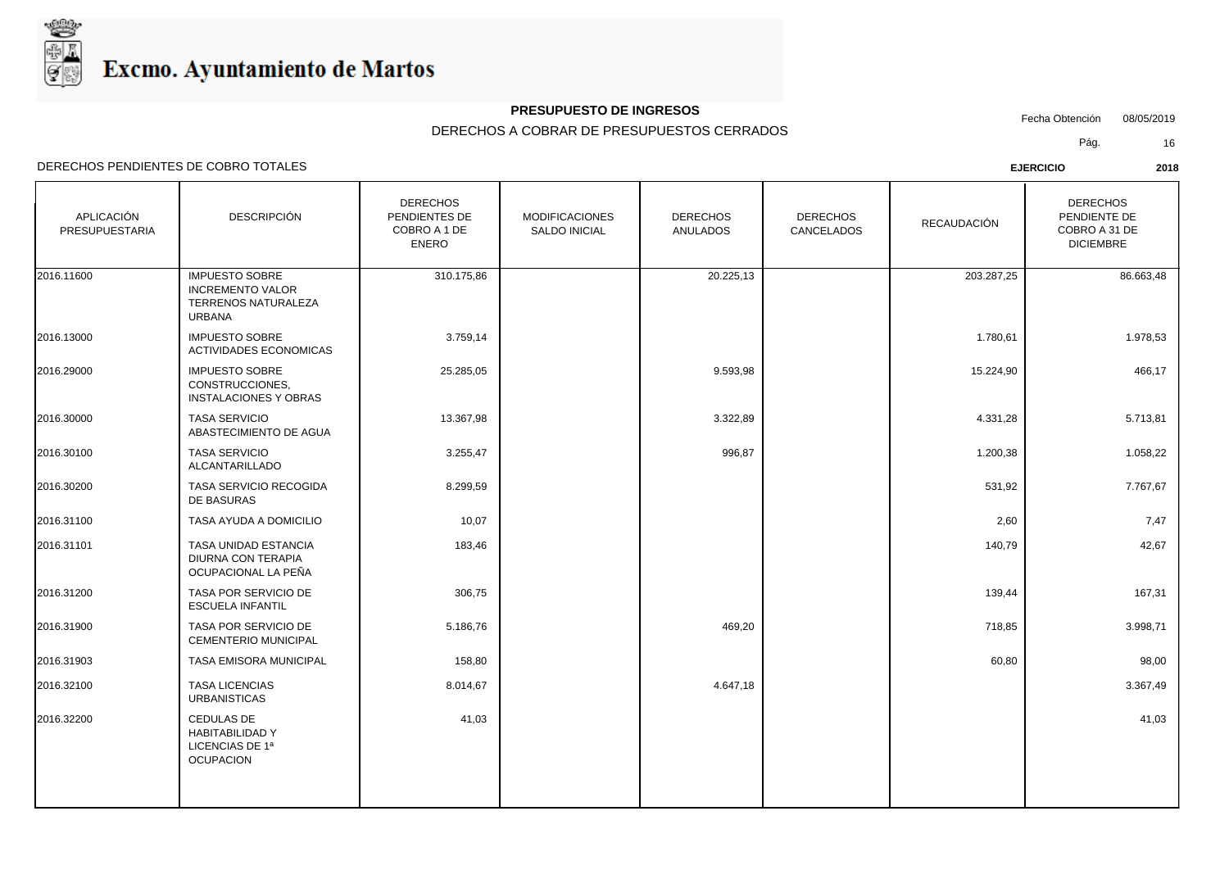

## **PRESUPUESTO DE INGRESOS**

Fecha Obtención 08/05/2019

DERECHOS A COBRAR DE PRESUPUESTOS CERRADOS

Pág. 16

| APLICACIÓN<br>PRESUPUESTARIA | <b>DESCRIPCIÓN</b>                                                                       | <b>DERECHOS</b><br>PENDIENTES DE<br>COBRO A 1 DE<br><b>ENERO</b> | <b>MODIFICACIONES</b><br>SALDO INICIAL | <b>DERECHOS</b><br><b>ANULADOS</b> | <b>DERECHOS</b><br>CANCELADOS | RECAUDACIÓN | <b>DERECHOS</b><br>PENDIENTE DE<br>COBRO A 31 DE<br><b>DICIEMBRE</b> |
|------------------------------|------------------------------------------------------------------------------------------|------------------------------------------------------------------|----------------------------------------|------------------------------------|-------------------------------|-------------|----------------------------------------------------------------------|
| 2016.11600                   | <b>IMPUESTO SOBRE</b><br><b>INCREMENTO VALOR</b><br>TERRENOS NATURALEZA<br><b>URBANA</b> | 310.175,86                                                       |                                        | 20.225,13                          |                               | 203.287,25  | 86.663,48                                                            |
| 2016.13000                   | <b>IMPUESTO SOBRE</b><br><b>ACTIVIDADES ECONOMICAS</b>                                   | 3.759,14                                                         |                                        |                                    |                               | 1.780,61    | 1.978,53                                                             |
| 2016.29000                   | <b>IMPUESTO SOBRE</b><br>CONSTRUCCIONES.<br><b>INSTALACIONES Y OBRAS</b>                 | 25.285,05                                                        |                                        | 9.593,98                           |                               | 15.224,90   | 466,17                                                               |
| 2016.30000                   | <b>TASA SERVICIO</b><br>ABASTECIMIENTO DE AGUA                                           | 13.367,98                                                        |                                        | 3.322,89                           |                               | 4.331,28    | 5.713,81                                                             |
| 2016.30100                   | <b>TASA SERVICIO</b><br>ALCANTARILLADO                                                   | 3.255,47                                                         |                                        | 996,87                             |                               | 1.200,38    | 1.058,22                                                             |
| 2016.30200                   | TASA SERVICIO RECOGIDA<br>DE BASURAS                                                     | 8.299,59                                                         |                                        |                                    |                               | 531,92      | 7.767,67                                                             |
| 2016.31100                   | TASA AYUDA A DOMICILIO                                                                   | 10,07                                                            |                                        |                                    |                               | 2,60        | 7,47                                                                 |
| 2016.31101                   | TASA UNIDAD ESTANCIA<br><b>DIURNA CON TERAPIA</b><br>OCUPACIONAL LA PEÑA                 | 183,46                                                           |                                        |                                    |                               | 140,79      | 42,67                                                                |
| 2016.31200                   | TASA POR SERVICIO DE<br><b>ESCUELA INFANTIL</b>                                          | 306,75                                                           |                                        |                                    |                               | 139,44      | 167,31                                                               |
| 2016.31900                   | TASA POR SERVICIO DE<br><b>CEMENTERIO MUNICIPAL</b>                                      | 5.186,76                                                         |                                        | 469,20                             |                               | 718,85      | 3.998,71                                                             |
| 2016.31903                   | <b>TASA EMISORA MUNICIPAL</b>                                                            | 158,80                                                           |                                        |                                    |                               | 60,80       | 98,00                                                                |
| 2016.32100                   | <b>TASA LICENCIAS</b><br><b>URBANISTICAS</b>                                             | 8.014,67                                                         |                                        | 4.647,18                           |                               |             | 3.367,49                                                             |
| 2016.32200                   | <b>CEDULAS DE</b><br><b>HABITABILIDAD Y</b><br>LICENCIAS DE 1ª<br><b>OCUPACION</b>       | 41,03                                                            |                                        |                                    |                               |             | 41,03                                                                |
|                              |                                                                                          |                                                                  |                                        |                                    |                               |             |                                                                      |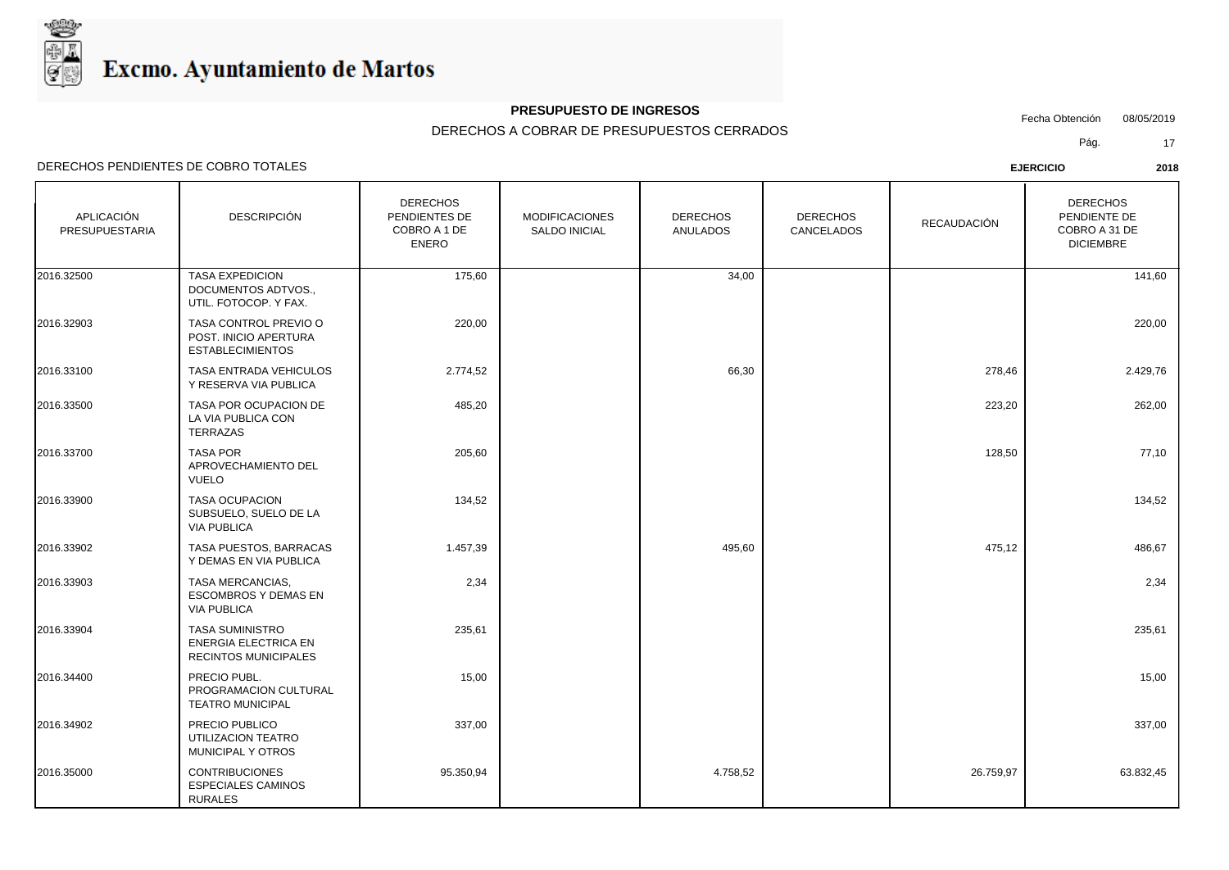

## **PRESUPUESTO DE INGRESOS**

Fecha Obtención 08/05/2019

DERECHOS A COBRAR DE PRESUPUESTOS CERRADOS

Pág. 17

| APLICACIÓN<br>PRESUPUESTARIA | <b>DESCRIPCIÓN</b>                                                            | <b>DERECHOS</b><br>PENDIENTES DE<br>COBRO A 1 DE<br><b>ENERO</b> | <b>MODIFICACIONES</b><br><b>SALDO INICIAL</b> | <b>DERECHOS</b><br><b>ANULADOS</b> | <b>DERECHOS</b><br>CANCELADOS | RECAUDACIÓN | <b>DERECHOS</b><br>PENDIENTE DE<br>COBRO A 31 DE<br><b>DICIEMBRE</b> |
|------------------------------|-------------------------------------------------------------------------------|------------------------------------------------------------------|-----------------------------------------------|------------------------------------|-------------------------------|-------------|----------------------------------------------------------------------|
| 2016.32500                   | <b>TASA EXPEDICION</b><br>DOCUMENTOS ADTVOS.,<br>UTIL. FOTOCOP. Y FAX.        | 175,60                                                           |                                               | 34,00                              |                               |             | 141,60                                                               |
| 2016.32903                   | TASA CONTROL PREVIO O<br>POST. INICIO APERTURA<br><b>ESTABLECIMIENTOS</b>     | 220,00                                                           |                                               |                                    |                               |             | 220,00                                                               |
| 2016.33100                   | <b>TASA ENTRADA VEHICULOS</b><br>Y RESERVA VIA PUBLICA                        | 2.774,52                                                         |                                               | 66,30                              |                               | 278,46      | 2.429,76                                                             |
| 2016.33500                   | TASA POR OCUPACION DE<br>LA VIA PUBLICA CON<br>TERRAZAS                       | 485,20                                                           |                                               |                                    |                               | 223,20      | 262,00                                                               |
| 2016.33700                   | <b>TASA POR</b><br>APROVECHAMIENTO DEL<br><b>VUELO</b>                        | 205,60                                                           |                                               |                                    |                               | 128,50      | 77,10                                                                |
| 2016.33900                   | <b>TASA OCUPACION</b><br>SUBSUELO, SUELO DE LA<br><b>VIA PUBLICA</b>          | 134,52                                                           |                                               |                                    |                               |             | 134,52                                                               |
| 2016.33902                   | TASA PUESTOS, BARRACAS<br>Y DEMAS EN VIA PUBLICA                              | 1.457,39                                                         |                                               | 495,60                             |                               | 475,12      | 486,67                                                               |
| 2016.33903                   | TASA MERCANCIAS,<br><b>ESCOMBROS Y DEMAS EN</b><br><b>VIA PUBLICA</b>         | 2,34                                                             |                                               |                                    |                               |             | 2,34                                                                 |
| 2016.33904                   | <b>TASA SUMINISTRO</b><br><b>ENERGIA ELECTRICA EN</b><br>RECINTOS MUNICIPALES | 235,61                                                           |                                               |                                    |                               |             | 235,61                                                               |
| 2016.34400                   | PRECIO PUBL.<br>PROGRAMACION CULTURAL<br><b>TEATRO MUNICIPAL</b>              | 15,00                                                            |                                               |                                    |                               |             | 15,00                                                                |
| 2016.34902                   | PRECIO PUBLICO<br>UTILIZACION TEATRO<br>MUNICIPAL Y OTROS                     | 337,00                                                           |                                               |                                    |                               |             | 337,00                                                               |
| 2016.35000                   | <b>CONTRIBUCIONES</b><br><b>ESPECIALES CAMINOS</b><br><b>RURALES</b>          | 95.350,94                                                        |                                               | 4.758,52                           |                               | 26.759,97   | 63.832,45                                                            |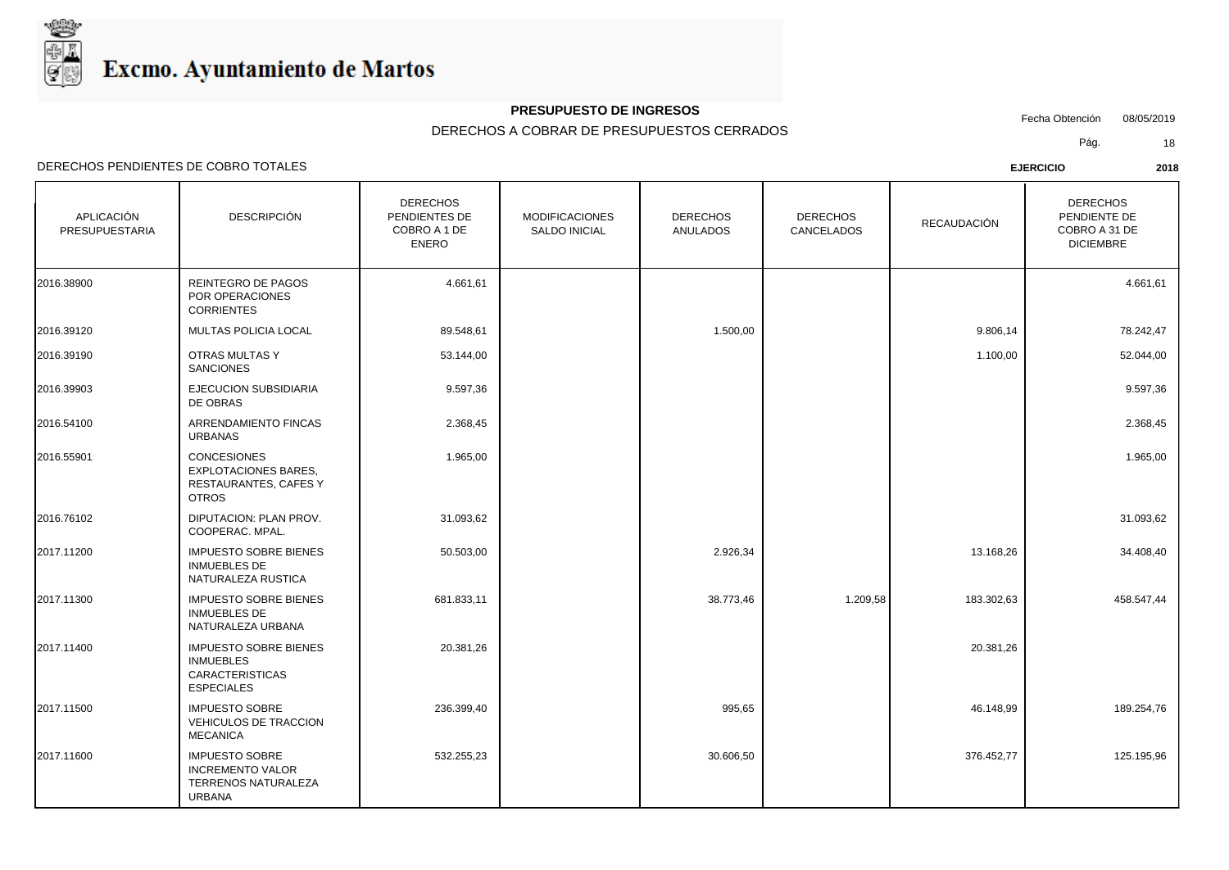

## **PRESUPUESTO DE INGRESOS**

Fecha Obtención 08/05/2019

DERECHOS A COBRAR DE PRESUPUESTOS CERRADOS

Pág. 18

| APLICACIÓN<br>PRESUPUESTARIA | <b>DESCRIPCIÓN</b>                                                                              | <b>DERECHOS</b><br>PENDIENTES DE<br>COBRO A 1 DE<br><b>ENERO</b> | <b>MODIFICACIONES</b><br>SALDO INICIAL | <b>DERECHOS</b><br><b>ANULADOS</b> | <b>DERECHOS</b><br>CANCELADOS | RECAUDACIÓN | <b>DERECHOS</b><br>PENDIENTE DE<br>COBRO A 31 DE<br><b>DICIEMBRE</b> |
|------------------------------|-------------------------------------------------------------------------------------------------|------------------------------------------------------------------|----------------------------------------|------------------------------------|-------------------------------|-------------|----------------------------------------------------------------------|
| 2016.38900                   | REINTEGRO DE PAGOS<br>POR OPERACIONES<br><b>CORRIENTES</b>                                      | 4.661,61                                                         |                                        |                                    |                               |             | 4.661,61                                                             |
| 2016.39120                   | <b>MULTAS POLICIA LOCAL</b>                                                                     | 89.548,61                                                        |                                        | 1.500,00                           |                               | 9.806,14    | 78.242,47                                                            |
| 2016.39190                   | OTRAS MULTAS Y<br><b>SANCIONES</b>                                                              | 53.144,00                                                        |                                        |                                    |                               | 1.100,00    | 52.044,00                                                            |
| 2016.39903                   | EJECUCION SUBSIDIARIA<br>DE OBRAS                                                               | 9.597,36                                                         |                                        |                                    |                               |             | 9.597,36                                                             |
| 2016.54100                   | ARRENDAMIENTO FINCAS<br><b>URBANAS</b>                                                          | 2.368,45                                                         |                                        |                                    |                               |             | 2.368,45                                                             |
| 2016.55901                   | <b>CONCESIONES</b><br><b>EXPLOTACIONES BARES.</b><br>RESTAURANTES, CAFES Y<br><b>OTROS</b>      | 1.965,00                                                         |                                        |                                    |                               |             | 1.965,00                                                             |
| 2016.76102                   | DIPUTACION: PLAN PROV.<br>COOPERAC. MPAL.                                                       | 31.093,62                                                        |                                        |                                    |                               |             | 31.093,62                                                            |
| 2017.11200                   | <b>IMPUESTO SOBRE BIENES</b><br><b>INMUEBLES DE</b><br>NATURALEZA RUSTICA                       | 50.503,00                                                        |                                        | 2.926,34                           |                               | 13.168,26   | 34.408,40                                                            |
| 2017.11300                   | <b>IMPUESTO SOBRE BIENES</b><br><b>INMUEBLES DE</b><br>NATURALEZA URBANA                        | 681.833,11                                                       |                                        | 38.773,46                          | 1.209,58                      | 183.302,63  | 458.547,44                                                           |
| 2017.11400                   | <b>IMPUESTO SOBRE BIENES</b><br><b>INMUEBLES</b><br><b>CARACTERISTICAS</b><br><b>ESPECIALES</b> | 20.381,26                                                        |                                        |                                    |                               | 20.381,26   |                                                                      |
| 2017.11500                   | <b>IMPUESTO SOBRE</b><br>VEHICULOS DE TRACCION<br><b>MECANICA</b>                               | 236.399,40                                                       |                                        | 995,65                             |                               | 46.148,99   | 189.254,76                                                           |
| 2017.11600                   | <b>IMPUESTO SOBRE</b><br><b>INCREMENTO VALOR</b><br>TERRENOS NATURALEZA<br><b>URBANA</b>        | 532.255,23                                                       |                                        | 30.606,50                          |                               | 376.452,77  | 125.195,96                                                           |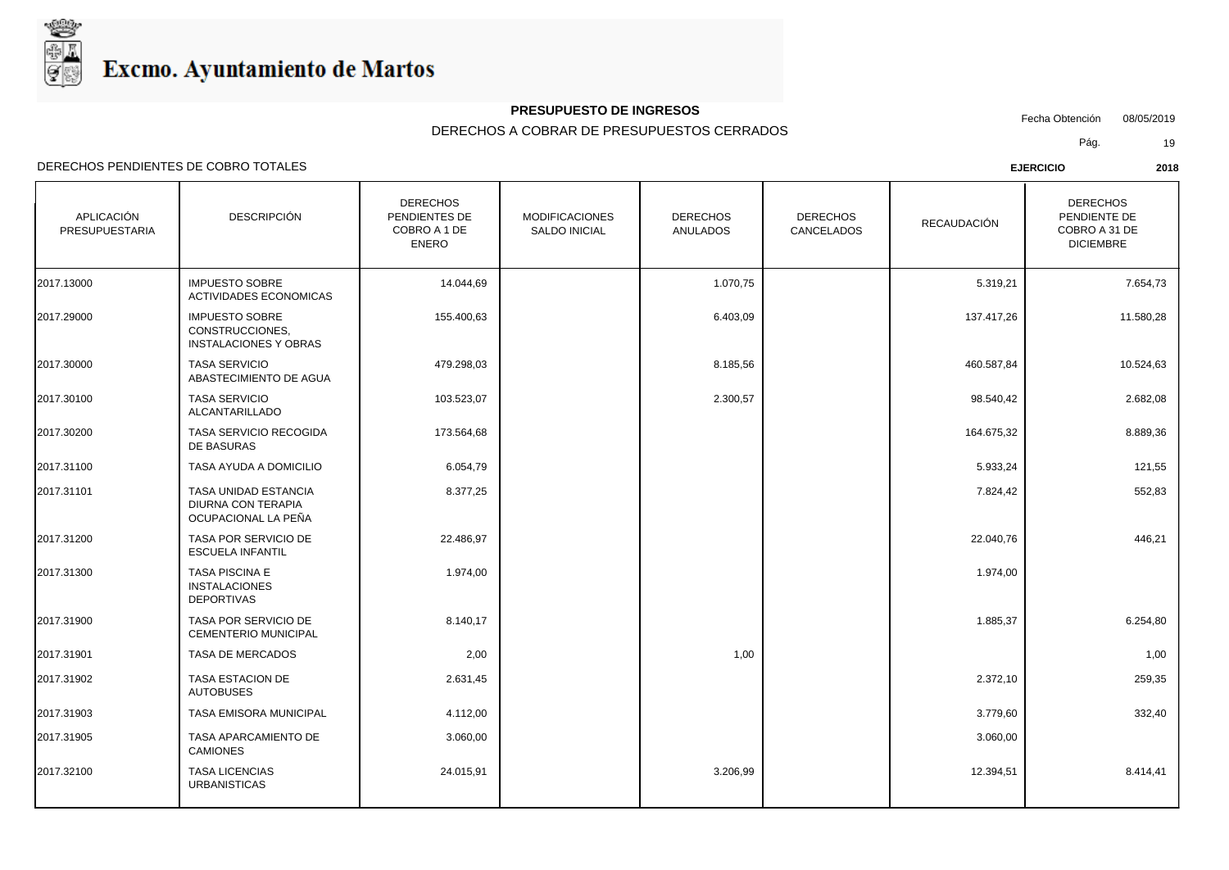

## **PRESUPUESTO DE INGRESOS**

Fecha Obtención 08/05/2019

DERECHOS A COBRAR DE PRESUPUESTOS CERRADOS

Pág. 19

| APLICACIÓN<br><b>PRESUPUESTARIA</b> | <b>DESCRIPCIÓN</b>                                                              | <b>DERECHOS</b><br>PENDIENTES DE<br>COBRO A 1 DE<br><b>ENERO</b> | <b>MODIFICACIONES</b><br><b>SALDO INICIAL</b> | <b>DERECHOS</b><br><b>ANULADOS</b> | <b>DERECHOS</b><br>CANCELADOS | RECAUDACIÓN | <b>DERECHOS</b><br>PENDIENTE DE<br>COBRO A 31 DE<br><b>DICIEMBRE</b> |
|-------------------------------------|---------------------------------------------------------------------------------|------------------------------------------------------------------|-----------------------------------------------|------------------------------------|-------------------------------|-------------|----------------------------------------------------------------------|
| 2017.13000                          | <b>IMPUESTO SOBRE</b><br><b>ACTIVIDADES ECONOMICAS</b>                          | 14.044,69                                                        |                                               | 1.070,75                           |                               | 5.319,21    | 7.654,73                                                             |
| 2017.29000                          | <b>IMPUESTO SOBRE</b><br>CONSTRUCCIONES.<br><b>INSTALACIONES Y OBRAS</b>        | 155.400,63                                                       |                                               | 6.403,09                           |                               | 137.417,26  | 11.580,28                                                            |
| 2017.30000                          | <b>TASA SERVICIO</b><br>ABASTECIMIENTO DE AGUA                                  | 479.298,03                                                       |                                               | 8.185,56                           |                               | 460.587,84  | 10.524,63                                                            |
| 2017.30100                          | <b>TASA SERVICIO</b><br>ALCANTARILLADO                                          | 103.523,07                                                       |                                               | 2.300,57                           |                               | 98.540,42   | 2.682,08                                                             |
| 2017.30200                          | TASA SERVICIO RECOGIDA<br>DE BASURAS                                            | 173.564,68                                                       |                                               |                                    |                               | 164.675,32  | 8.889,36                                                             |
| 2017.31100                          | TASA AYUDA A DOMICILIO                                                          | 6.054,79                                                         |                                               |                                    |                               | 5.933,24    | 121,55                                                               |
| 2017.31101                          | <b>TASA UNIDAD ESTANCIA</b><br><b>DIURNA CON TERAPIA</b><br>OCUPACIONAL LA PEÑA | 8.377,25                                                         |                                               |                                    |                               | 7.824,42    | 552,83                                                               |
| 2017.31200                          | TASA POR SERVICIO DE<br><b>ESCUELA INFANTIL</b>                                 | 22.486,97                                                        |                                               |                                    |                               | 22.040,76   | 446,21                                                               |
| 2017.31300                          | <b>TASA PISCINA E</b><br><b>INSTALACIONES</b><br><b>DEPORTIVAS</b>              | 1.974,00                                                         |                                               |                                    |                               | 1.974,00    |                                                                      |
| 2017.31900                          | TASA POR SERVICIO DE<br><b>CEMENTERIO MUNICIPAL</b>                             | 8.140,17                                                         |                                               |                                    |                               | 1.885,37    | 6.254,80                                                             |
| 2017.31901                          | TASA DE MERCADOS                                                                | 2,00                                                             |                                               | 1,00                               |                               |             | 1,00                                                                 |
| 2017.31902                          | <b>TASA ESTACION DE</b><br><b>AUTOBUSES</b>                                     | 2.631,45                                                         |                                               |                                    |                               | 2.372,10    | 259,35                                                               |
| 2017.31903                          | TASA EMISORA MUNICIPAL                                                          | 4.112,00                                                         |                                               |                                    |                               | 3.779,60    | 332,40                                                               |
| 2017.31905                          | TASA APARCAMIENTO DE<br><b>CAMIONES</b>                                         | 3.060,00                                                         |                                               |                                    |                               | 3.060,00    |                                                                      |
| 2017.32100                          | <b>TASA LICENCIAS</b><br><b>URBANISTICAS</b>                                    | 24.015,91                                                        |                                               | 3.206,99                           |                               | 12.394,51   | 8.414,41                                                             |
|                                     |                                                                                 |                                                                  |                                               |                                    |                               |             |                                                                      |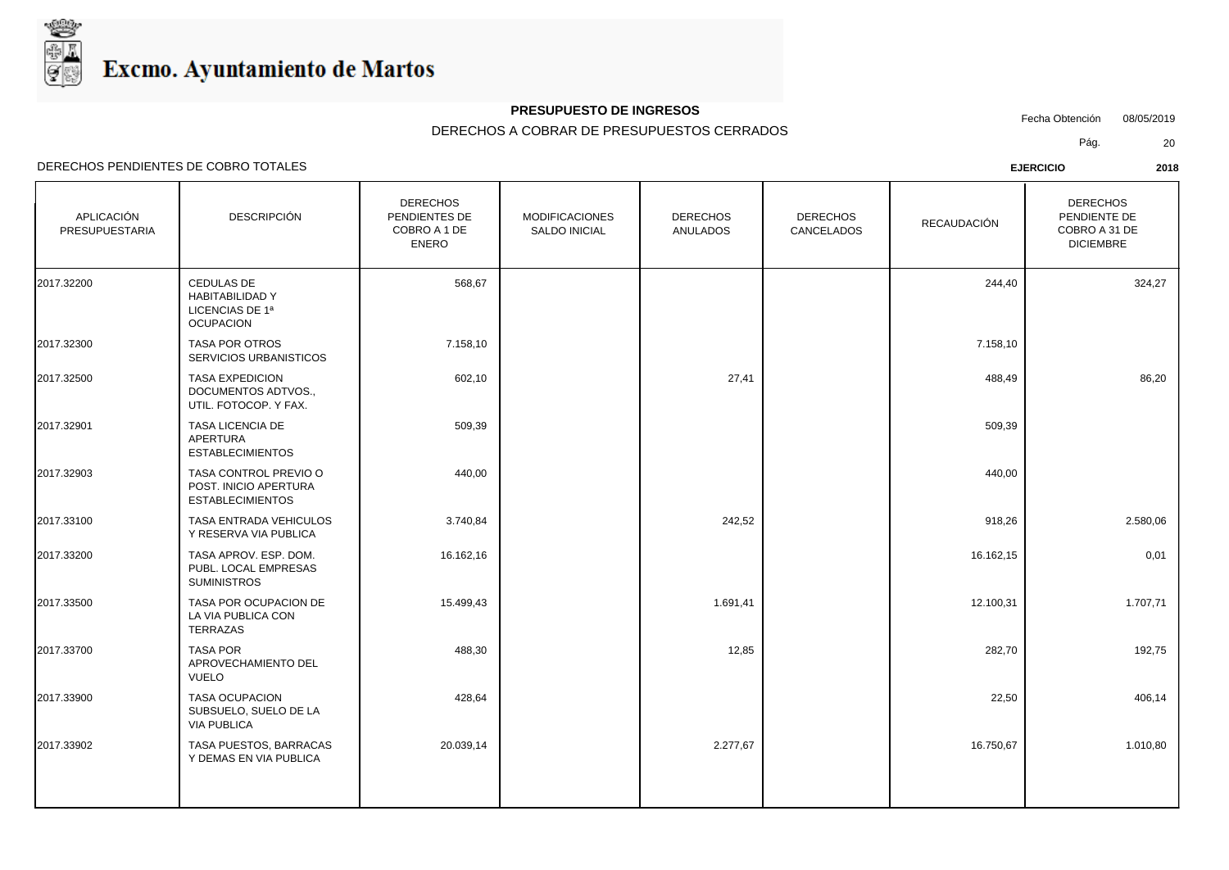

## **PRESUPUESTO DE INGRESOS**

Fecha Obtención 08/05/2019

DERECHOS A COBRAR DE PRESUPUESTOS CERRADOS

Pág. 20

| APLICACIÓN<br>PRESUPUESTARIA | <b>DESCRIPCIÓN</b>                                                          | <b>DERECHOS</b><br>PENDIENTES DE<br>COBRO A 1 DE<br><b>ENERO</b> | <b>MODIFICACIONES</b><br><b>SALDO INICIAL</b> | <b>DERECHOS</b><br><b>ANULADOS</b> | <b>DERECHOS</b><br>CANCELADOS | RECAUDACIÓN | <b>DERECHOS</b><br>PENDIENTE DE<br>COBRO A 31 DE<br><b>DICIEMBRE</b> |
|------------------------------|-----------------------------------------------------------------------------|------------------------------------------------------------------|-----------------------------------------------|------------------------------------|-------------------------------|-------------|----------------------------------------------------------------------|
| 2017.32200                   | CEDULAS DE<br><b>HABITABILIDAD Y</b><br>LICENCIAS DE 1ª<br><b>OCUPACION</b> | 568,67                                                           |                                               |                                    |                               | 244,40      | 324,27                                                               |
| 2017.32300                   | <b>TASA POR OTROS</b><br>SERVICIOS URBANISTICOS                             | 7.158,10                                                         |                                               |                                    |                               | 7.158,10    |                                                                      |
| 2017.32500                   | <b>TASA EXPEDICION</b><br>DOCUMENTOS ADTVOS.,<br>UTIL. FOTOCOP. Y FAX.      | 602,10                                                           |                                               | 27,41                              |                               | 488,49      | 86,20                                                                |
| 2017.32901                   | TASA LICENCIA DE<br><b>APERTURA</b><br><b>ESTABLECIMIENTOS</b>              | 509,39                                                           |                                               |                                    |                               | 509,39      |                                                                      |
| 2017.32903                   | TASA CONTROL PREVIO O<br>POST. INICIO APERTURA<br><b>ESTABLECIMIENTOS</b>   | 440,00                                                           |                                               |                                    |                               | 440,00      |                                                                      |
| 2017.33100                   | TASA ENTRADA VEHICULOS<br>Y RESERVA VIA PUBLICA                             | 3.740,84                                                         |                                               | 242,52                             |                               | 918,26      | 2.580,06                                                             |
| 2017.33200                   | TASA APROV. ESP. DOM.<br>PUBL. LOCAL EMPRESAS<br><b>SUMINISTROS</b>         | 16.162,16                                                        |                                               |                                    |                               | 16.162,15   | 0,01                                                                 |
| 2017.33500                   | TASA POR OCUPACION DE<br>LA VIA PUBLICA CON<br><b>TERRAZAS</b>              | 15.499,43                                                        |                                               | 1.691,41                           |                               | 12.100,31   | 1.707,71                                                             |
| 2017.33700                   | <b>TASA POR</b><br>APROVECHAMIENTO DEL<br><b>VUELO</b>                      | 488,30                                                           |                                               | 12,85                              |                               | 282,70      | 192,75                                                               |
| 2017.33900                   | <b>TASA OCUPACION</b><br>SUBSUELO, SUELO DE LA<br><b>VIA PUBLICA</b>        | 428,64                                                           |                                               |                                    |                               | 22,50       | 406,14                                                               |
| 2017.33902                   | TASA PUESTOS, BARRACAS<br>Y DEMAS EN VIA PUBLICA                            | 20.039,14                                                        |                                               | 2.277,67                           |                               | 16.750,67   | 1.010,80                                                             |
|                              |                                                                             |                                                                  |                                               |                                    |                               |             |                                                                      |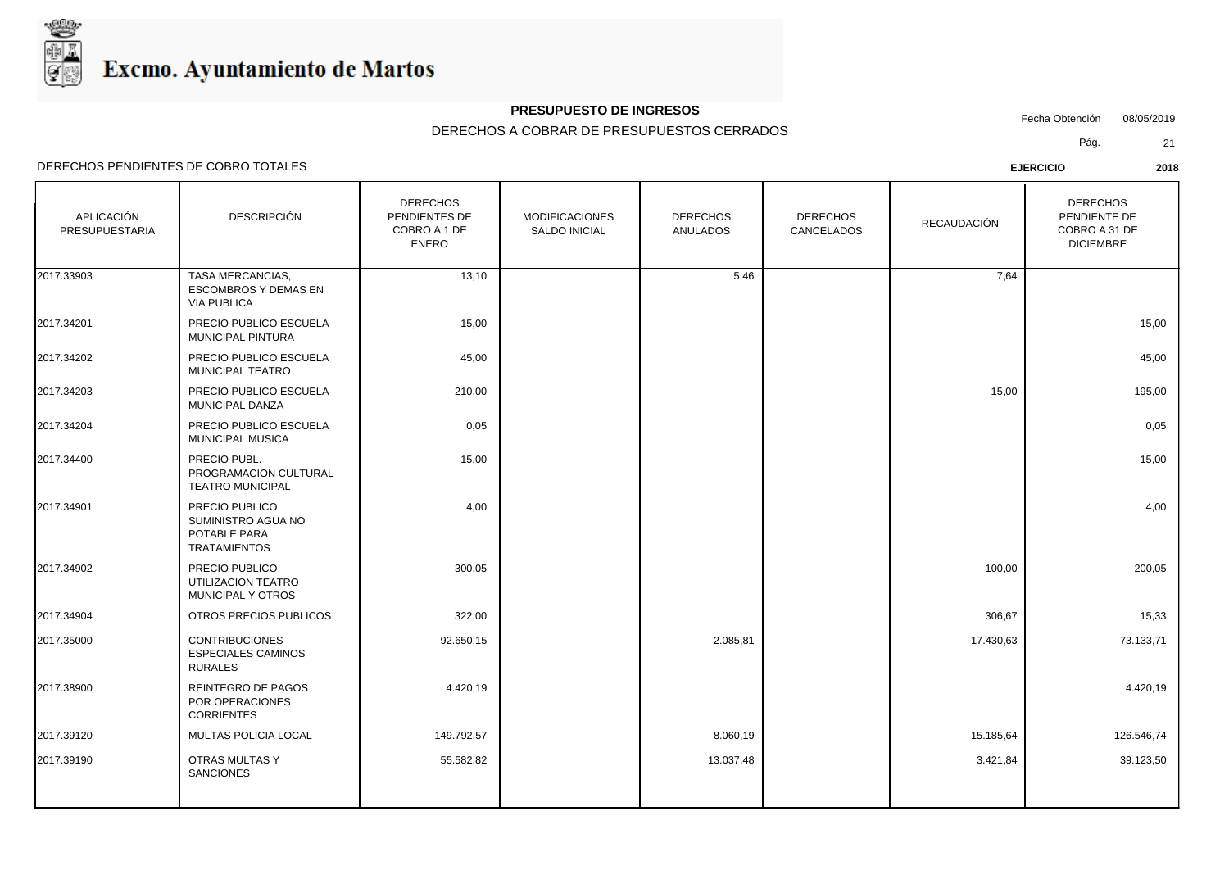

## **PRESUPUESTO DE INGRESOS**

Fecha Obtención 08/05/2019

DERECHOS A COBRAR DE PRESUPUESTOS CERRADOS

Pág. 21

| APLICACIÓN<br>PRESUPUESTARIA | <b>DESCRIPCIÓN</b>                                                           | <b>DERECHOS</b><br>PENDIENTES DE<br>COBRO A 1 DE<br><b>ENERO</b> | <b>MODIFICACIONES</b><br><b>SALDO INICIAL</b> | <b>DERECHOS</b><br><b>ANULADOS</b> | <b>DERECHOS</b><br>CANCELADOS | RECAUDACIÓN | <b>DERECHOS</b><br>PENDIENTE DE<br>COBRO A 31 DE<br><b>DICIEMBRE</b> |
|------------------------------|------------------------------------------------------------------------------|------------------------------------------------------------------|-----------------------------------------------|------------------------------------|-------------------------------|-------------|----------------------------------------------------------------------|
| 2017.33903                   | <b>TASA MERCANCIAS.</b><br><b>ESCOMBROS Y DEMAS EN</b><br><b>VIA PUBLICA</b> | 13,10                                                            |                                               | 5,46                               |                               | 7,64        |                                                                      |
| 2017.34201                   | PRECIO PUBLICO ESCUELA<br>MUNICIPAL PINTURA                                  | 15,00                                                            |                                               |                                    |                               |             | 15,00                                                                |
| 2017.34202                   | PRECIO PUBLICO ESCUELA<br>MUNICIPAL TEATRO                                   | 45,00                                                            |                                               |                                    |                               |             | 45,00                                                                |
| 2017.34203                   | PRECIO PUBLICO ESCUELA<br><b>MUNICIPAL DANZA</b>                             | 210,00                                                           |                                               |                                    |                               | 15,00       | 195,00                                                               |
| 2017.34204                   | PRECIO PUBLICO ESCUELA<br><b>MUNICIPAL MUSICA</b>                            | 0,05                                                             |                                               |                                    |                               |             | 0,05                                                                 |
| 2017.34400                   | PRECIO PUBL.<br>PROGRAMACION CULTURAL<br><b>TEATRO MUNICIPAL</b>             | 15,00                                                            |                                               |                                    |                               |             | 15,00                                                                |
| 2017.34901                   | PRECIO PUBLICO<br>SUMINISTRO AGUA NO<br>POTABLE PARA<br><b>TRATAMIENTOS</b>  | 4,00                                                             |                                               |                                    |                               |             | 4,00                                                                 |
| 2017.34902                   | PRECIO PUBLICO<br>UTILIZACION TEATRO<br>MUNICIPAL Y OTROS                    | 300,05                                                           |                                               |                                    |                               | 100,00      | 200,05                                                               |
| 2017.34904                   | OTROS PRECIOS PUBLICOS                                                       | 322,00                                                           |                                               |                                    |                               | 306,67      | 15,33                                                                |
| 2017.35000                   | <b>CONTRIBUCIONES</b><br><b>ESPECIALES CAMINOS</b><br><b>RURALES</b>         | 92.650,15                                                        |                                               | 2.085,81                           |                               | 17.430,63   | 73.133,71                                                            |
| 2017.38900                   | REINTEGRO DE PAGOS<br>POR OPERACIONES<br><b>CORRIENTES</b>                   | 4.420,19                                                         |                                               |                                    |                               |             | 4.420,19                                                             |
| 2017.39120                   | MULTAS POLICIA LOCAL                                                         | 149.792,57                                                       |                                               | 8.060,19                           |                               | 15.185,64   | 126.546,74                                                           |
| 2017.39190                   | <b>OTRAS MULTAS Y</b><br><b>SANCIONES</b>                                    | 55.582,82                                                        |                                               | 13.037,48                          |                               | 3.421,84    | 39.123,50                                                            |
|                              |                                                                              |                                                                  |                                               |                                    |                               |             |                                                                      |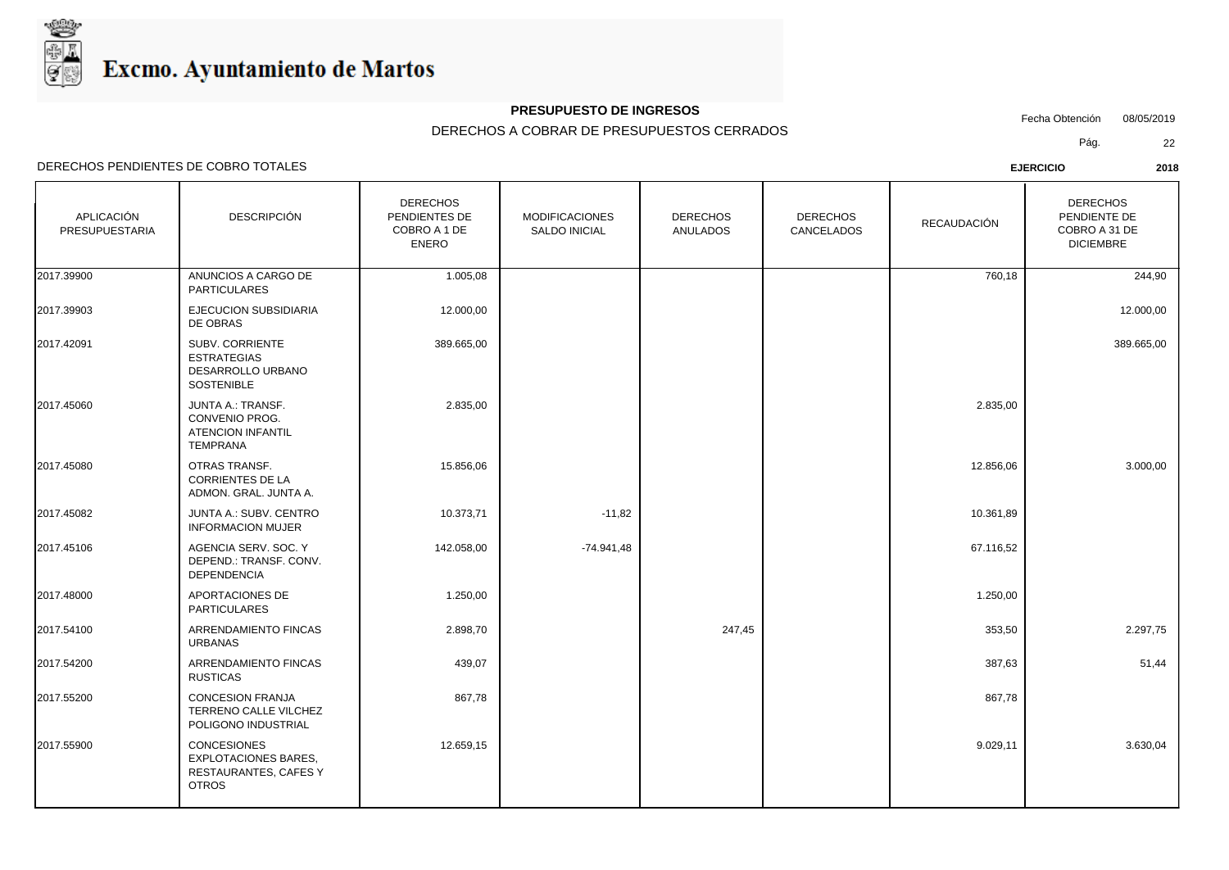

## **PRESUPUESTO DE INGRESOS**

Fecha Obtención 08/05/2019

DERECHOS A COBRAR DE PRESUPUESTOS CERRADOS

Pág. 22

| APLICACIÓN<br>PRESUPUESTARIA | <b>DESCRIPCIÓN</b>                                                                         | <b>DERECHOS</b><br>PENDIENTES DE<br>COBRO A 1 DE<br><b>ENERO</b> | <b>MODIFICACIONES</b><br>SALDO INICIAL | <b>DERECHOS</b><br><b>ANULADOS</b> | <b>DERECHOS</b><br>CANCELADOS | RECAUDACIÓN | <b>DERECHOS</b><br>PENDIENTE DE<br>COBRO A 31 DE<br><b>DICIEMBRE</b> |
|------------------------------|--------------------------------------------------------------------------------------------|------------------------------------------------------------------|----------------------------------------|------------------------------------|-------------------------------|-------------|----------------------------------------------------------------------|
| 2017.39900                   | ANUNCIOS A CARGO DE<br><b>PARTICULARES</b>                                                 | 1.005,08                                                         |                                        |                                    |                               | 760,18      | 244,90                                                               |
| 2017.39903                   | <b>EJECUCION SUBSIDIARIA</b><br>DE OBRAS                                                   | 12.000,00                                                        |                                        |                                    |                               |             | 12.000,00                                                            |
| 2017.42091                   | SUBV. CORRIENTE<br><b>ESTRATEGIAS</b><br>DESARROLLO URBANO<br>SOSTENIBLE                   | 389.665,00                                                       |                                        |                                    |                               |             | 389.665,00                                                           |
| 2017.45060                   | JUNTA A.: TRANSF.<br>CONVENIO PROG.<br><b>ATENCION INFANTIL</b><br><b>TEMPRANA</b>         | 2.835,00                                                         |                                        |                                    |                               | 2.835,00    |                                                                      |
| 2017.45080                   | OTRAS TRANSF.<br><b>CORRIENTES DE LA</b><br>ADMON. GRAL. JUNTA A.                          | 15.856,06                                                        |                                        |                                    |                               | 12.856,06   | 3.000,00                                                             |
| 2017.45082                   | JUNTA A.: SUBV. CENTRO<br><b>INFORMACION MUJER</b>                                         | 10.373,71                                                        | $-11,82$                               |                                    |                               | 10.361,89   |                                                                      |
| 2017.45106                   | AGENCIA SERV. SOC. Y<br>DEPEND.: TRANSF. CONV.<br><b>DEPENDENCIA</b>                       | 142.058,00                                                       | $-74.941,48$                           |                                    |                               | 67.116,52   |                                                                      |
| 2017.48000                   | APORTACIONES DE<br><b>PARTICULARES</b>                                                     | 1.250,00                                                         |                                        |                                    |                               | 1.250,00    |                                                                      |
| 2017.54100                   | ARRENDAMIENTO FINCAS<br>URBANAS                                                            | 2.898,70                                                         |                                        | 247,45                             |                               | 353,50      | 2.297,75                                                             |
| 2017.54200                   | ARRENDAMIENTO FINCAS<br><b>RUSTICAS</b>                                                    | 439,07                                                           |                                        |                                    |                               | 387,63      | 51,44                                                                |
| 2017.55200                   | <b>CONCESION FRANJA</b><br>TERRENO CALLE VILCHEZ<br>POLIGONO INDUSTRIAL                    | 867,78                                                           |                                        |                                    |                               | 867,78      |                                                                      |
| 2017.55900                   | <b>CONCESIONES</b><br><b>EXPLOTACIONES BARES,</b><br>RESTAURANTES, CAFES Y<br><b>OTROS</b> | 12.659,15                                                        |                                        |                                    |                               | 9.029,11    | 3.630,04                                                             |
|                              |                                                                                            |                                                                  |                                        |                                    |                               |             |                                                                      |